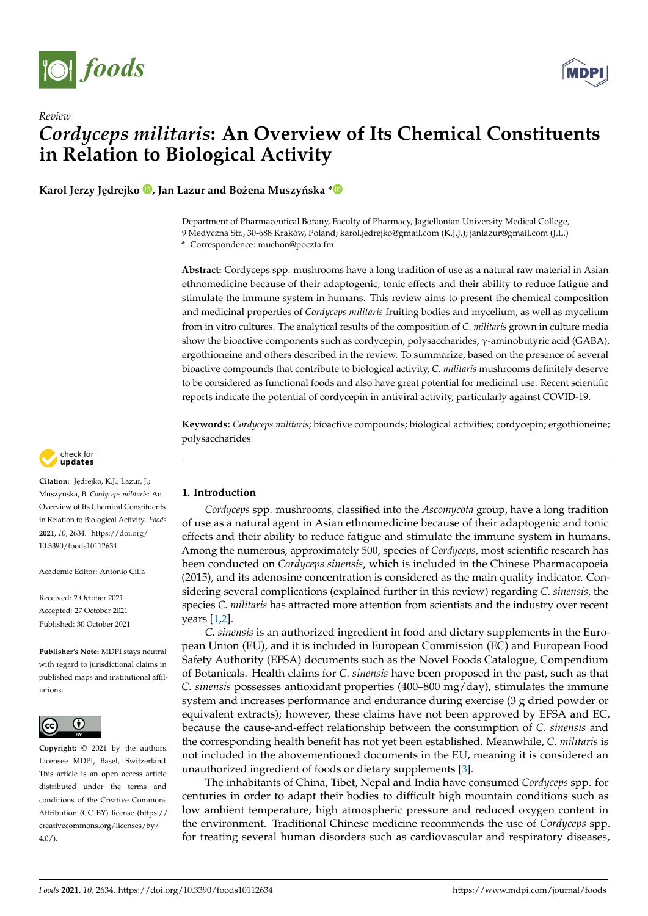



**Karol Jerzy Jędrejko**  $\bullet$ **[,](https://orcid.org/0000-0001-5301-2396) Jan Lazur and Bożena Muszyńska**  $* \bullet$  $* \bullet$ 

Department of Pharmaceutical Botany, Faculty of Pharmacy, Jagiellonian University Medical College, 9 Medyczna Str., 30-688 Kraków, Poland; karol.jedrejko@gmail.com (K.J.J.); janlazur@gmail.com (J.L.)

**\*** Correspondence: muchon@poczta.fm

**Abstract:** Cordyceps spp. mushrooms have a long tradition of use as a natural raw material in Asian ethnomedicine because of their adaptogenic, tonic effects and their ability to reduce fatigue and stimulate the immune system in humans. This review aims to present the chemical composition and medicinal properties of *Cordyceps militaris* fruiting bodies and mycelium, as well as mycelium from in vitro cultures. The analytical results of the composition of *C*. *militaris* grown in culture media show the bioactive components such as cordycepin, polysaccharides, γ-aminobutyric acid (GABA), ergothioneine and others described in the review. To summarize, based on the presence of several bioactive compounds that contribute to biological activity, *C. militaris* mushrooms definitely deserve to be considered as functional foods and also have great potential for medicinal use. Recent scientific reports indicate the potential of cordycepin in antiviral activity, particularly against COVID-19.

**Keywords:** *Cordyceps militaris*; bioactive compounds; biological activities; cordycepin; ergothioneine; polysaccharides



Citation: Jędrejko, K.J.; Lazur, J.; Muszy ´nska, B. *Cordyceps militaris*: An Overview of Its Chemical Constituents in Relation to Biological Activity. *Foods* **2021**, *10*, 2634. [https://doi.org/](https://doi.org/10.3390/foods10112634) [10.3390/foods10112634](https://doi.org/10.3390/foods10112634)

Academic Editor: Antonio Cilla

Received: 2 October 2021 Accepted: 27 October 2021 Published: 30 October 2021

**Publisher's Note:** MDPI stays neutral with regard to jurisdictional claims in published maps and institutional affiliations.



**Copyright:** © 2021 by the authors. Licensee MDPI, Basel, Switzerland. This article is an open access article distributed under the terms and conditions of the Creative Commons Attribution (CC BY) license (https:/[/](https://creativecommons.org/licenses/by/4.0/) [creativecommons.org/licenses/by/](https://creativecommons.org/licenses/by/4.0/)  $4.0/$ ).

# **1. Introduction**

*Cordyceps* spp. mushrooms, classified into the *Ascomycota* group, have a long tradition of use as a natural agent in Asian ethnomedicine because of their adaptogenic and tonic effects and their ability to reduce fatigue and stimulate the immune system in humans. Among the numerous, approximately 500, species of *Cordyceps*, most scientific research has been conducted on *Cordyceps sinensis*, which is included in the Chinese Pharmacopoeia (2015), and its adenosine concentration is considered as the main quality indicator. Considering several complications (explained further in this review) regarding *C. sinensis*, the species *C. militaris* has attracted more attention from scientists and the industry over recent years [\[1,](#page-17-0)[2\]](#page-17-1).

*C. sinensis* is an authorized ingredient in food and dietary supplements in the European Union (EU), and it is included in European Commission (EC) and European Food Safety Authority (EFSA) documents such as the Novel Foods Catalogue, Compendium of Botanicals. Health claims for *C. sinensis* have been proposed in the past, such as that *C. sinensis* possesses antioxidant properties (400–800 mg/day), stimulates the immune system and increases performance and endurance during exercise (3 g dried powder or equivalent extracts); however, these claims have not been approved by EFSA and EC, because the cause-and-effect relationship between the consumption of *C. sinensis* and the corresponding health benefit has not yet been established. Meanwhile, *C. militaris* is not included in the abovementioned documents in the EU, meaning it is considered an unauthorized ingredient of foods or dietary supplements [\[3\]](#page-17-2).

The inhabitants of China, Tibet, Nepal and India have consumed *Cordyceps* spp. for centuries in order to adapt their bodies to difficult high mountain conditions such as low ambient temperature, high atmospheric pressure and reduced oxygen content in the environment. Traditional Chinese medicine recommends the use of *Cordyceps* spp. for treating several human disorders such as cardiovascular and respiratory diseases,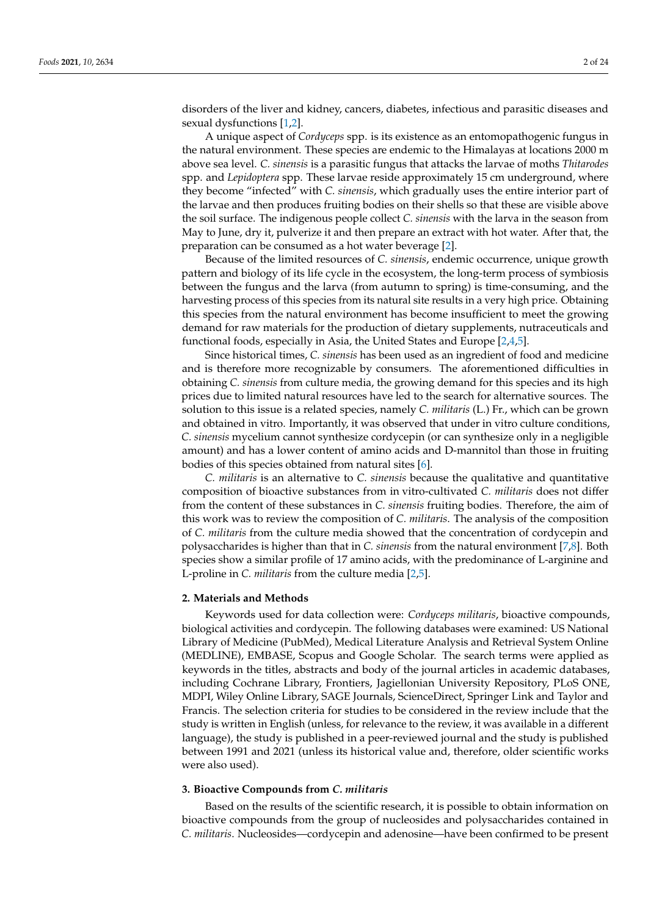disorders of the liver and kidney, cancers, diabetes, infectious and parasitic diseases and sexual dysfunctions [\[1,](#page-17-0)[2\]](#page-17-1).

A unique aspect of *Cordyceps* spp. is its existence as an entomopathogenic fungus in the natural environment. These species are endemic to the Himalayas at locations 2000 m above sea level. *C. sinensis* is a parasitic fungus that attacks the larvae of moths *Thitarodes* spp. and *Lepidoptera* spp. These larvae reside approximately 15 cm underground, where they become "infected" with *C. sinensis*, which gradually uses the entire interior part of the larvae and then produces fruiting bodies on their shells so that these are visible above the soil surface. The indigenous people collect *C. sinensis* with the larva in the season from May to June, dry it, pulverize it and then prepare an extract with hot water. After that, the preparation can be consumed as a hot water beverage [\[2\]](#page-17-1).

Because of the limited resources of *C. sinensis*, endemic occurrence, unique growth pattern and biology of its life cycle in the ecosystem, the long-term process of symbiosis between the fungus and the larva (from autumn to spring) is time-consuming, and the harvesting process of this species from its natural site results in a very high price. Obtaining this species from the natural environment has become insufficient to meet the growing demand for raw materials for the production of dietary supplements, nutraceuticals and functional foods, especially in Asia, the United States and Europe [\[2,](#page-17-1)[4,](#page-17-3)[5\]](#page-17-4).

Since historical times, *C. sinensis* has been used as an ingredient of food and medicine and is therefore more recognizable by consumers. The aforementioned difficulties in obtaining *C. sinensis* from culture media, the growing demand for this species and its high prices due to limited natural resources have led to the search for alternative sources. The solution to this issue is a related species, namely *C. militaris* (L.) Fr., which can be grown and obtained in vitro. Importantly, it was observed that under in vitro culture conditions, *C. sinensis* mycelium cannot synthesize cordycepin (or can synthesize only in a negligible amount) and has a lower content of amino acids and D-mannitol than those in fruiting bodies of this species obtained from natural sites [\[6\]](#page-17-5).

*C. militaris* is an alternative to *C. sinensis* because the qualitative and quantitative composition of bioactive substances from in vitro-cultivated *C. militaris* does not differ from the content of these substances in *C. sinensis* fruiting bodies. Therefore, the aim of this work was to review the composition of *C. militaris*. The analysis of the composition of *C. militaris* from the culture media showed that the concentration of cordycepin and polysaccharides is higher than that in *C. sinensis* from the natural environment [\[7](#page-17-6)[,8\]](#page-17-7). Both species show a similar profile of 17 amino acids, with the predominance of L-arginine and L-proline in *C. militaris* from the culture media [\[2](#page-17-1)[,5\]](#page-17-4).

## **2. Materials and Methods**

Keywords used for data collection were: *Cordyceps militaris*, bioactive compounds, biological activities and cordycepin. The following databases were examined: US National Library of Medicine (PubMed), Medical Literature Analysis and Retrieval System Online (MEDLINE), EMBASE, Scopus and Google Scholar. The search terms were applied as keywords in the titles, abstracts and body of the journal articles in academic databases, including Cochrane Library, Frontiers, Jagiellonian University Repository, PLoS ONE, MDPI, Wiley Online Library, SAGE Journals, ScienceDirect, Springer Link and Taylor and Francis. The selection criteria for studies to be considered in the review include that the study is written in English (unless, for relevance to the review, it was available in a different language), the study is published in a peer-reviewed journal and the study is published between 1991 and 2021 (unless its historical value and, therefore, older scientific works were also used).

# **3. Bioactive Compounds from** *C. militaris*

Based on the results of the scientific research, it is possible to obtain information on bioactive compounds from the group of nucleosides and polysaccharides contained in *C. militaris*. Nucleosides—cordycepin and adenosine—have been confirmed to be present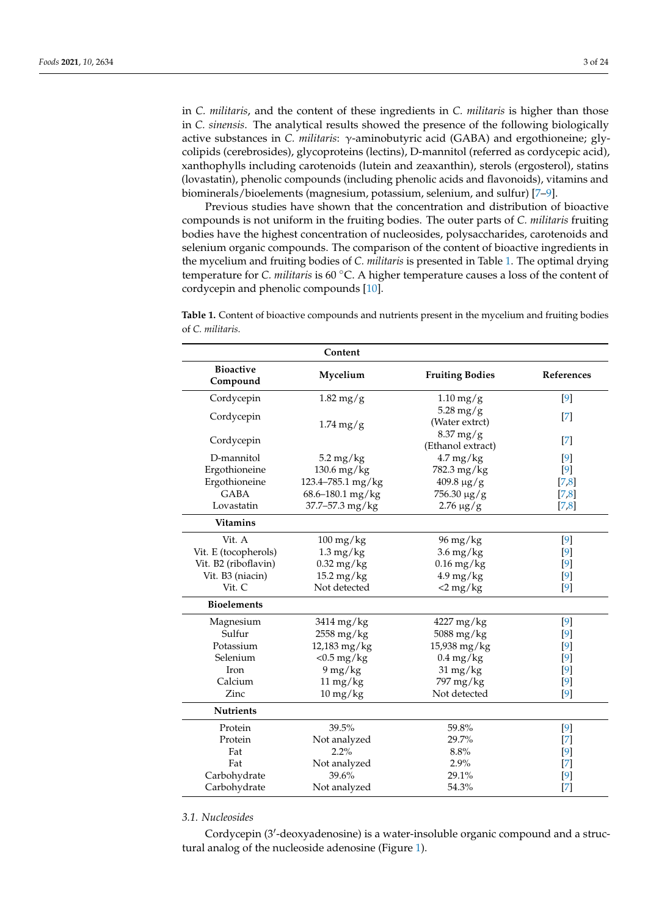in *C. militaris*, and the content of these ingredients in *C. militaris* is higher than those in *C. sinensis*. The analytical results showed the presence of the following biologically active substances in *C. militaris*: γ-aminobutyric acid (GABA) and ergothioneine; glycolipids (cerebrosides), glycoproteins (lectins), D-mannitol (referred as cordycepic acid), xanthophylls including carotenoids (lutein and zeaxanthin), sterols (ergosterol), statins (lovastatin), phenolic compounds (including phenolic acids and flavonoids), vitamins and biominerals/bioelements (magnesium, potassium, selenium, and sulfur) [\[7–](#page-17-6)[9\]](#page-17-8).

Previous studies have shown that the concentration and distribution of bioactive compounds is not uniform in the fruiting bodies. The outer parts of *C. militaris* fruiting bodies have the highest concentration of nucleosides, polysaccharides, carotenoids and selenium organic compounds. The comparison of the content of bioactive ingredients in the mycelium and fruiting bodies of *C. militaris* is presented in Table [1.](#page-2-0) The optimal drying temperature for *C. militaris* is 60 ◦C. A higher temperature causes a loss of the content of cordycepin and phenolic compounds [\[10\]](#page-17-9).

<span id="page-2-0"></span>**Table 1.** Content of bioactive compounds and nutrients present in the mycelium and fruiting bodies of *C. militaris*.

|                              | Content              |                                  |                                                                                                                                                                                                                                                                                                                                                                                                                                                                                                        |
|------------------------------|----------------------|----------------------------------|--------------------------------------------------------------------------------------------------------------------------------------------------------------------------------------------------------------------------------------------------------------------------------------------------------------------------------------------------------------------------------------------------------------------------------------------------------------------------------------------------------|
| <b>Bioactive</b><br>Compound | Mycelium             | <b>Fruiting Bodies</b>           | References                                                                                                                                                                                                                                                                                                                                                                                                                                                                                             |
| Cordycepin                   | $1.82$ mg/g          | $1.10$ mg/g                      | $[9]$                                                                                                                                                                                                                                                                                                                                                                                                                                                                                                  |
| Cordycepin                   | $1.74$ mg/g          | $5.28$ mg/g<br>(Water extrct)    | $[7]$                                                                                                                                                                                                                                                                                                                                                                                                                                                                                                  |
| Cordycepin                   |                      | $8.37$ mg/g<br>(Ethanol extract) | $[7]$                                                                                                                                                                                                                                                                                                                                                                                                                                                                                                  |
| D-mannitol                   | $5.2 \text{ mg/kg}$  | $4.7 \,\mathrm{mg/kg}$           | [9]                                                                                                                                                                                                                                                                                                                                                                                                                                                                                                    |
| Ergothioneine                | 130.6 mg/kg          | 782.3 mg/kg                      | [9]                                                                                                                                                                                                                                                                                                                                                                                                                                                                                                    |
| Ergothioneine                | 123.4-785.1 mg/kg    | $409.8 \,\mathrm{\upmu g/g}$     | [7, 8]                                                                                                                                                                                                                                                                                                                                                                                                                                                                                                 |
| <b>GABA</b><br>Lovastatin    | 68.6-180.1 mg/kg     | 756.30 µg/g                      | [7, 8]                                                                                                                                                                                                                                                                                                                                                                                                                                                                                                 |
|                              | 37.7-57.3 mg/kg      | $2.76 \,\mu g/g$                 | $[7,8]$                                                                                                                                                                                                                                                                                                                                                                                                                                                                                                |
| <b>Vitamins</b>              |                      |                                  |                                                                                                                                                                                                                                                                                                                                                                                                                                                                                                        |
| Vit. A                       | $100 \text{ mg/kg}$  | $96 \,\mathrm{mg/kg}$            | $[9]$                                                                                                                                                                                                                                                                                                                                                                                                                                                                                                  |
| Vit. E (tocopherols)         | $1.3 \text{ mg/kg}$  | $3.6 \,\mathrm{mg/kg}$           | [9]                                                                                                                                                                                                                                                                                                                                                                                                                                                                                                    |
| Vit. B2 (riboflavin)         | $0.32$ mg/kg         | $0.16$ mg/kg                     | [9]                                                                                                                                                                                                                                                                                                                                                                                                                                                                                                    |
| Vit. B3 (niacin)             | $15.2 \text{ mg/kg}$ | $4.9 \text{ mg/kg}$              | [9]                                                                                                                                                                                                                                                                                                                                                                                                                                                                                                    |
| Vit. C                       | Not detected         | $<$ 2 mg/kg                      | [9]                                                                                                                                                                                                                                                                                                                                                                                                                                                                                                    |
| <b>Bioelements</b>           |                      |                                  |                                                                                                                                                                                                                                                                                                                                                                                                                                                                                                        |
| Magnesium                    | 3414 mg/kg           | 4227 mg/kg                       | $[9]$                                                                                                                                                                                                                                                                                                                                                                                                                                                                                                  |
| Sulfur                       | 2558 mg/kg           | 5088 mg/kg                       | [9]                                                                                                                                                                                                                                                                                                                                                                                                                                                                                                    |
| Potassium                    | 12,183 mg/kg         | 15,938 mg/kg                     | $[9]$                                                                                                                                                                                                                                                                                                                                                                                                                                                                                                  |
| Selenium                     | $<$ 0.5 mg/kg        | $0.4$ mg/kg                      | $[9]$                                                                                                                                                                                                                                                                                                                                                                                                                                                                                                  |
| Iron                         | $9$ mg/kg            | $31 \,\mathrm{mg/kg}$            | $[9]$                                                                                                                                                                                                                                                                                                                                                                                                                                                                                                  |
| Calcium                      | $11 \text{ mg/kg}$   | 797 mg/kg                        | [9]                                                                                                                                                                                                                                                                                                                                                                                                                                                                                                    |
| Zinc                         | $10 \text{ mg/kg}$   | Not detected                     | [9]                                                                                                                                                                                                                                                                                                                                                                                                                                                                                                    |
| <b>Nutrients</b>             |                      |                                  |                                                                                                                                                                                                                                                                                                                                                                                                                                                                                                        |
| Protein                      | 39.5%                | 59.8%                            | $[9]$                                                                                                                                                                                                                                                                                                                                                                                                                                                                                                  |
| Protein                      | Not analyzed         | 29.7%                            | $[7]$                                                                                                                                                                                                                                                                                                                                                                                                                                                                                                  |
| Fat                          | $2.2\%$              | 8.8%                             | [9]                                                                                                                                                                                                                                                                                                                                                                                                                                                                                                    |
| Fat                          | Not analyzed         | 2.9%                             | $[7]$                                                                                                                                                                                                                                                                                                                                                                                                                                                                                                  |
| Carbohydrate                 | 39.6%                | 29.1%                            | [9]                                                                                                                                                                                                                                                                                                                                                                                                                                                                                                    |
| Carbohydrate                 | Not analyzed         | 54.3%                            | $[7] \centering% \includegraphics[width=1\textwidth]{images/TransY.pdf} \caption{The first two different values of $d=3$ and $d=4$ (left) and $d=5$ (right) and $d=6$ (right) and $d=6$ (right) and $d=6$ (right) and $d=6$ (right) and $d=6$ (right) and $d=6$ (right) and $d=6$ (right) and $d=6$ (right) and $d=6$ (right) and $d=6$ (right) and $d=6$ (right) and $d=6$ (right) and $d=6$ (right) and $d=6$ (right) and $d=6$ (right) and $d=6$ (right) and $d=6$ (right) and $d=6$ (right) and $$ |

# *3.1. Nucleosides*

Cordycepin (3'-deoxyadenosine) is a water-insoluble organic compound and a structural analog of the nucleoside adenosine (Figure [1\)](#page-3-0).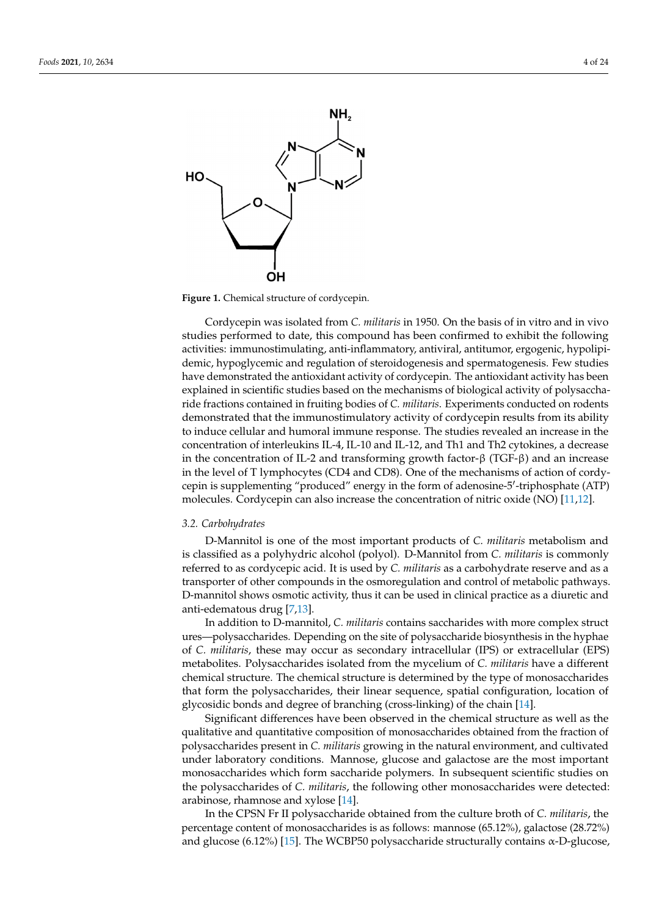<span id="page-3-0"></span>

**Figure 1.** Chemical structure of cordycepin. **Figure 1.** Chemical structure of cordycepin.

Cordycepin was isolated from *C. militaris* in 1950. On the basis of in vitro and in vivo Cordycepin was isolated from *C. militaris* in 1950. On the basis of in vitro and in vivo studies performed to date, this compound has been confirmed to exhibit the following studies performed to date, this compound has been confirmed to exhibit the following activities: immunostimulating, anti-inflammatory, antiviral, antitumor, ergogenic, hypolipidemic, hypoglycemic and regulation of steroidogenesis and spermatogenesis. Few studies have demonstrated the antioxidant activity of cordycepin. The antioxidant activity has been explained in scientific studies based on the mechanisms of biological activity of polysaccharide fractions contained in fruiting bodies of *C. militaris*. Experiments conducted on rodents demonstrated that the immunostimulatory activity of cordycepin results from its ability to induce cellular and humoral immune response. The studies revealed an increase in the concentration of interleukins IL-4, IL-10 and IL-12, and Th1 and Th2 cytokines, a decrease in the concentration of IL-2 and transforming growth factor-β (TGF-β) and an increase in the level of T lymphocytes (CD4 and CD8). One of the mechanisms of action of cordycepin is supplementing "produced" energy in the form of adenosine-5'-triphosphate (ATP) molecules. Cordycepin can also increase the concentration of nitric oxide (NO) [\[11](#page-17-10)[,12\]](#page-17-11).

Cordycepin (3ʹ-deoxyadenosine) is a water-insoluble organic compound and a struc-

# 3.2. Carbohydrates

D-Mannitol is one of the most important products of *C. militaris* metabolism and is classified as a polyhydric alcohol (polyol). D-Mannitol from *C. militaris* is commonly referred to as cordycepic acid. It is used by *C. militaris* as a carbohydrate reserve and as a<br>transportance of the common dain the commonly time and control of metals is nothing the transporter of other compounds in the osmoregulation and control of metabolic pathways.<br>Democratic labores consideration them it as a base of in this planetic consulting the old D-mannitol shows osmotic activity, thus it can be used in clinical practice as a diuretic and  $\frac{1}{\sqrt{2}}$ anti-edematous drug [\[7,](#page-17-6)[13\]](#page-17-12).

In addition to D-mannitol, *C. militaris* contains saccharides with more complex struct In decident to *B* manifedry *B manifedry criminals* condains securitates with note complex structures—polysaccharides. Depending on the site of polysaccharide biosynthesis in the hyphae of *C. militaris*, these may occur as secondary intracellular (IPS) or extracellular (EPS) of *C. millima, by these thay* been as secondary induced and (if b) or characterian (if b) metabolites. Polysaccharides isolated from the mycelium of *C. militaris* have a different phae of *C. militaris*, these may occur as secondary intracellular (IPS) or extracellular (EPS) chemical structure. The chemical structure is determined by the type of monosaccharides that form the polysaccharides, their linear sequence, spatial configuration, location of glycosidic bonds and degree of branching (cross-linking) of the chain [\[14\]](#page-17-13).

 $\frac{1}{2}$  Significant differences have been observed in the chemical structure as well as the qualitative and quantitative composition of monosaccharides obtained from the fraction of <sup>1</sup> polysaccharides present in *C. militaris* growing in the natural environment, and cultivated under laboratory conditions. Mannose, glucose and galactose are the most important monosaccharides which form saccharide polymers. In subsequent scientific studies on the polysaccharides of *C. militaris*, the following other monosaccharides were detected: arabinose, rhamnose and xylose [\[14\]](#page-17-13).

In the CPSN Fr II polysaccharide obtained from the culture broth of *C. militaris*, the percentage content of monosaccharides is as follows: mannose (65.12%), galactose (28.72%) and glucose (6.12%) [\[15\]](#page-17-14). The WCBP50 polysaccharide structurally contains  $\alpha$ -D-glucose,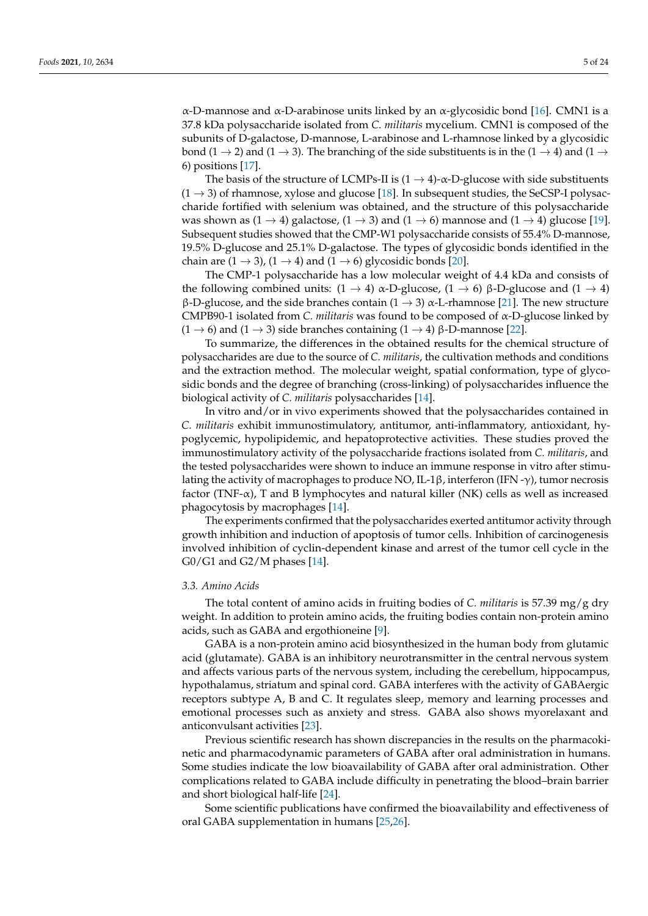α-D-mannose and α-D-arabinose units linked by an α-glycosidic bond [\[16\]](#page-17-15). CMN1 is a 37.8 kDa polysaccharide isolated from *C. militaris* mycelium. CMN1 is composed of the subunits of D-galactose, D-mannose, L-arabinose and L-rhamnose linked by a glycosidic bond (1  $\rightarrow$  2) and (1  $\rightarrow$  3). The branching of the side substituents is in the (1  $\rightarrow$  4) and (1  $\rightarrow$ 6) positions [\[17\]](#page-17-16).

The basis of the structure of LCMPs-II is  $(1 \rightarrow 4)$ - $\alpha$ -D-glucose with side substituents  $(1 \rightarrow 3)$  of rhamnose, xylose and glucose [\[18\]](#page-18-0). In subsequent studies, the SeCSP-I polysaccharide fortified with selenium was obtained, and the structure of this polysaccharide was shown as  $(1 \rightarrow 4)$  galactose,  $(1 \rightarrow 3)$  and  $(1 \rightarrow 6)$  mannose and  $(1 \rightarrow 4)$  glucose [\[19\]](#page-18-1). Subsequent studies showed that the CMP-W1 polysaccharide consists of 55.4% D-mannose, 19.5% D-glucose and 25.1% D-galactose. The types of glycosidic bonds identified in the chain are  $(1 \rightarrow 3)$ ,  $(1 \rightarrow 4)$  and  $(1 \rightarrow 6)$  glycosidic bonds [\[20\]](#page-18-2).

The CMP-1 polysaccharide has a low molecular weight of 4.4 kDa and consists of the following combined units:  $(1 \rightarrow 4)$  α-D-glucose,  $(1 \rightarrow 6)$  β-D-glucose and  $(1 \rightarrow 4)$ β-D-glucose, and the side branches contain (1  $\rightarrow$  3) α-L-rhamnose [\[21\]](#page-18-3). The new structure CMPB90-1 isolated from *C. militaris* was found to be composed of α-D-glucose linked by  $(1 \rightarrow 6)$  and  $(1 \rightarrow 3)$  side branches containing  $(1 \rightarrow 4)$  β-D-mannose [\[22\]](#page-18-4).

To summarize, the differences in the obtained results for the chemical structure of polysaccharides are due to the source of *C. militaris*, the cultivation methods and conditions and the extraction method. The molecular weight, spatial conformation, type of glycosidic bonds and the degree of branching (cross-linking) of polysaccharides influence the biological activity of *C. militaris* polysaccharides [\[14\]](#page-17-13).

In vitro and/or in vivo experiments showed that the polysaccharides contained in *C. militaris* exhibit immunostimulatory, antitumor, anti-inflammatory, antioxidant, hypoglycemic, hypolipidemic, and hepatoprotective activities. These studies proved the immunostimulatory activity of the polysaccharide fractions isolated from *C. militaris*, and the tested polysaccharides were shown to induce an immune response in vitro after stimulating the activity of macrophages to produce NO, IL-1β, interferon (IFN -γ), tumor necrosis factor (TNF- $\alpha$ ), T and B lymphocytes and natural killer (NK) cells as well as increased phagocytosis by macrophages [\[14\]](#page-17-13).

The experiments confirmed that the polysaccharides exerted antitumor activity through growth inhibition and induction of apoptosis of tumor cells. Inhibition of carcinogenesis involved inhibition of cyclin-dependent kinase and arrest of the tumor cell cycle in the G0/G1 and G2/M phases [\[14\]](#page-17-13).

### *3.3. Amino Acids*

The total content of amino acids in fruiting bodies of *C. militaris* is 57.39 mg/g dry weight. In addition to protein amino acids, the fruiting bodies contain non-protein amino acids, such as GABA and ergothioneine [\[9\]](#page-17-8).

GABA is a non-protein amino acid biosynthesized in the human body from glutamic acid (glutamate). GABA is an inhibitory neurotransmitter in the central nervous system and affects various parts of the nervous system, including the cerebellum, hippocampus, hypothalamus, striatum and spinal cord. GABA interferes with the activity of GABAergic receptors subtype A, B and C. It regulates sleep, memory and learning processes and emotional processes such as anxiety and stress. GABA also shows myorelaxant and anticonvulsant activities [\[23\]](#page-18-5).

Previous scientific research has shown discrepancies in the results on the pharmacokinetic and pharmacodynamic parameters of GABA after oral administration in humans. Some studies indicate the low bioavailability of GABA after oral administration. Other complications related to GABA include difficulty in penetrating the blood–brain barrier and short biological half-life [\[24\]](#page-18-6).

Some scientific publications have confirmed the bioavailability and effectiveness of oral GABA supplementation in humans [\[25,](#page-18-7)[26\]](#page-18-8).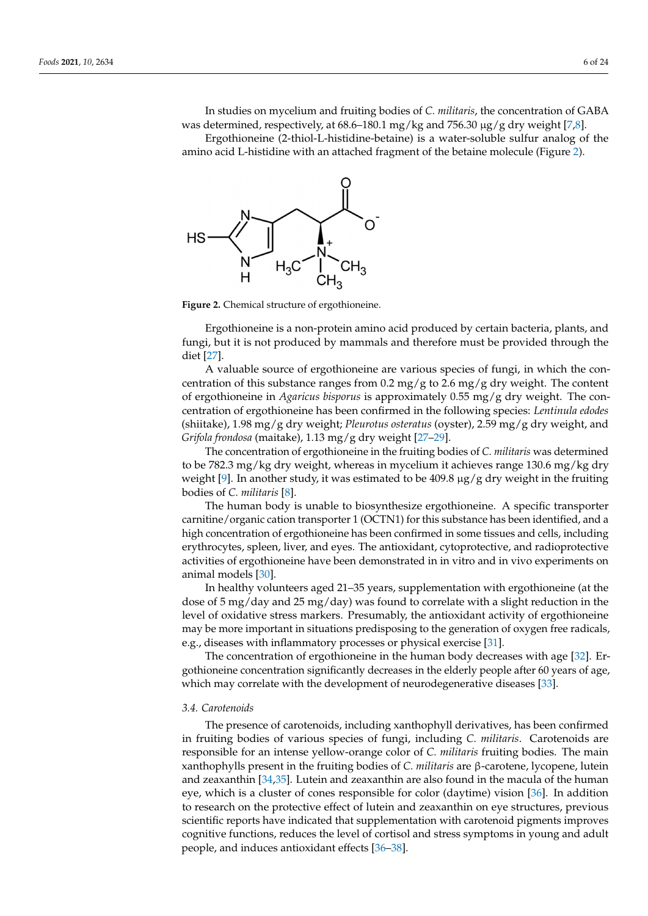In studies on mycelium and fruiting bodies of *C. militaris*, the concentration of GABA was determined, respectively, at 68.6–180.1 mg/kg and 756.30 µg/g dry weight [\[7,](#page-17-6)[8\]](#page-17-7). was determined, respectively, at 68.6–180.1 mg/kg and 756.30 μg/g dry weight [7,8].  $\mathbf{r}$  supplementation in the supplementation in the supplementation in  $\mathbf{r}$ . In studies on mycelium and fruiting bodies of *C. militaris*, the concentration of GABA

Ergothioneine (2-thiol-L-histidine-betaine) is a water-soluble sulfur analog of the Ergothioneine (2-thiol-L-histidine-betaine) is a water-soluble sulfur analog of the amino acid L-histidine with an attached fragment of the betaine molecule (Figure [2\)](#page-5-0). amino acid L-histidine with an attached fragment of the betaine molecule (Figure 2).

<span id="page-5-0"></span>

and short biological half-life [24].

**Figure 2.** Chemical structure of ergothioneine. **Figure 2.** Chemical structure of ergothioneine.

Ergothioneine is a non-protein amino acid produced by certain bacteria, plants, and Ergothioneine is a non-protein amino acid produced by certain bacteria, plants, and fungi, but it is not produced by mammals and therefore must be provided through the fungi, but it is not produced by mammals and therefore must be provided through the diet [27]. diet [\[27\]](#page-18-9).

A valuable source of ergothioneine are various species of fungi, in which the concentration of this substance ranges from 0.2 mg/g to 2.6 mg/g dry weight. The content of ergothioneine in *Agaricus bisporus* is approximately 0.55 mg/g dry weight. The concentration of ergothioneine has been confirmed in the following species: *Lentinula edodes* 1.98 mg/g dry weight; *Pleurotus osteratus* (oyster), 2.59 mg/g dry weight, and *Grifola fron-*(shiitake), 1.98 mg/g dry weight; *Pleurotus osteratus* (oyster), 2.59 mg/g dry weight, and *dosa* (maitake), 1.13 mg/g dry weight [27–29]. *Grifola frondosa* (maitake), 1.13 mg/g dry weight [\[27–](#page-18-9)[29\]](#page-18-10).

The concentration of ergothioneine in the fruiting bodies of *C. militaris* was determined mined to be 782.3 mg/kg dry weight, whereas in mycelium it achieves range 130.6 mg/kg to be 782.3 mg/kg dry weight, whereas in mycelium it achieves range 130.6 mg/kg dry weight [\[9\]](#page-17-8). In another study, it was estimated to be 409.8  $\mu$ g/g dry weight in the fruiting ing bodies of *C. militaris* [8]. bodies of *C. militaris* [\[8\]](#page-17-7).

The human body is unable to biosynthesize ergothioneine. A specific transporter nitine/organic cation transporter 1 (OCTN1) for this substance has been identified, and a carnitine/organic cation transporter 1 (OCTN1) for this substance has been identified, and a high concentration of ergothioneine has been confirmed in some tissues and cells, including erythrocytes, spleen, liver, and eyes. The antioxidant, cytoprotective, and radioprotective activities of ergothioneine have been demonstrated in in vitro and in vivo experiments on animal models [\[30\]](#page-18-11).

In healthy volunteers aged 21–35 years, supplementation with ergothioneine (at the  $\frac{1}{2}$ dose of 5 mg/day and 25 mg/day) was found to correlate with a slight reduction in the dose of 5 mg/day and 25 mg/day) was found to correlate with a slight reduction in the level of oxidative stress markers. Presumably, the antioxidant activity of ergothioneine may be more important in situations predisposing to the generation of oxygen free radicals,<br>may be more important in situations predisposing to the generation [21] level of oxidative stress markers. Presumably, the antioxidant activity of ergothioneine e.g., diseases with inflammatory processes or physical exercise [\[31\]](#page-18-12).

cals, e.g., diseases with inflammatory processes or physical exercise [31]. The concentration of ergothioneine in the human body decreases with age [\[32\]](#page-18-13). Er-The concentration of ergothioneine in the human body decreases with age [32]. Er-gothioneine concentration significantly decreases in the elderly people after 60 years of age, gotherne concentration significantly decreases in the electric people after  $\frac{1}{2}$ age, which may correlate with the development of neurodegenerative diseases [33]. which may correlate with the development of neurodegenerative diseases [\[33\]](#page-18-14).

#### *3.4. Carotenoids*

The presence of carotenoids, including xanthophyll derivatives, has been confirmed in fruiting bodies of various species of fungi, including *C. militaris*. Carotenoids are responsible for an intense yellow-orange color of *C. militaris* fruiting bodies. The main xanthophylls present in the fruiting bodies of *C. militaris* are β-carotene, lycopene, lutein and zeaxanthin [\[34,](#page-18-15)[35\]](#page-18-16). Lutein and zeaxanthin are also found in the macula of the human eye, which is a cluster of cones responsible for color (daytime) vision [\[36\]](#page-18-17). In addition to research on the protective effect of lutein and zeaxanthin on eye structures, previous scientific reports have indicated that supplementation with carotenoid pigments improves cognitive functions, reduces the level of cortisol and stress symptoms in young and adult people, and induces antioxidant effects [\[36–](#page-18-17)[38\]](#page-18-18).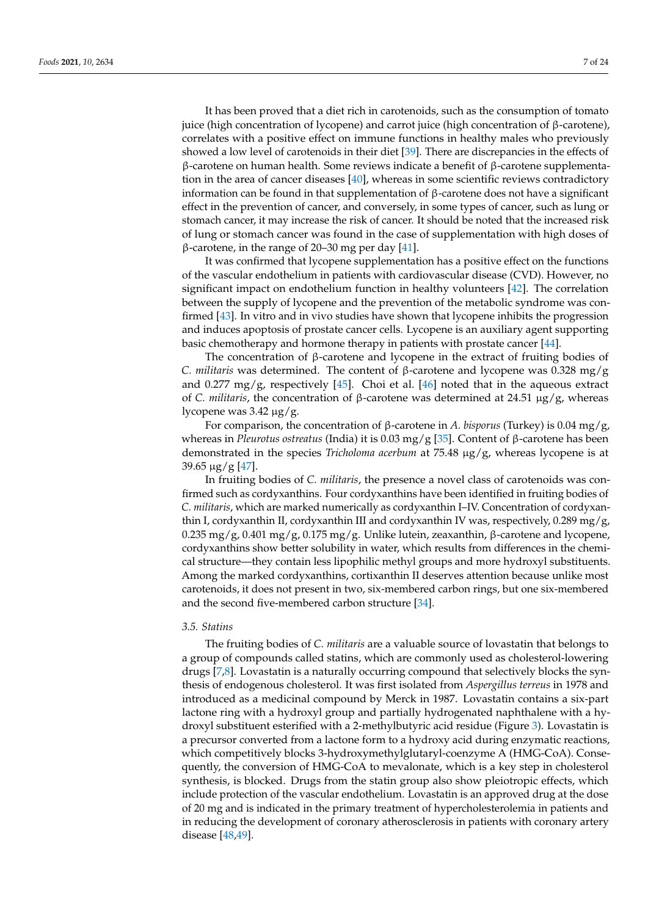It has been proved that a diet rich in carotenoids, such as the consumption of tomato juice (high concentration of lycopene) and carrot juice (high concentration of β-carotene), correlates with a positive effect on immune functions in healthy males who previously showed a low level of carotenoids in their diet [\[39\]](#page-18-19). There are discrepancies in the effects of β-carotene on human health. Some reviews indicate a benefit of β-carotene supplementation in the area of cancer diseases [\[40\]](#page-18-20), whereas in some scientific reviews contradictory information can be found in that supplementation of β-carotene does not have a significant effect in the prevention of cancer, and conversely, in some types of cancer, such as lung or stomach cancer, it may increase the risk of cancer. It should be noted that the increased risk of lung or stomach cancer was found in the case of supplementation with high doses of β-carotene, in the range of 20–30 mg per day [\[41\]](#page-18-21).

It was confirmed that lycopene supplementation has a positive effect on the functions of the vascular endothelium in patients with cardiovascular disease (CVD). However, no significant impact on endothelium function in healthy volunteers [\[42\]](#page-18-22). The correlation between the supply of lycopene and the prevention of the metabolic syndrome was confirmed [\[43\]](#page-18-23). In vitro and in vivo studies have shown that lycopene inhibits the progression and induces apoptosis of prostate cancer cells. Lycopene is an auxiliary agent supporting basic chemotherapy and hormone therapy in patients with prostate cancer [\[44\]](#page-19-0).

The concentration of  $\beta$ -carotene and lycopene in the extract of fruiting bodies of *C. militaris* was determined. The content of β-carotene and lycopene was 0.328 mg/g and  $0.277 \text{ mg/g}$ , respectively [\[45\]](#page-19-1). Choi et al. [\[46\]](#page-19-2) noted that in the aqueous extract of *C. militaris*, the concentration of β-carotene was determined at 24.51 µg/g, whereas lycopene was  $3.42 \mu g/g$ .

For comparison, the concentration of β-carotene in *A. bisporus* (Turkey) is 0.04 mg/g, whereas in *Pleurotus ostreatus* (India) it is 0.03 mg/g [\[35\]](#page-18-16). Content of β-carotene has been demonstrated in the species *Tricholoma acerbum* at 75.48 µg/g, whereas lycopene is at  $39.65 \,\mu g/g$  [\[47\]](#page-19-3).

In fruiting bodies of *C. militaris*, the presence a novel class of carotenoids was confirmed such as cordyxanthins. Four cordyxanthins have been identified in fruiting bodies of *C. militaris*, which are marked numerically as cordyxanthin I–IV. Concentration of cordyxanthin I, cordyxanthin II, cordyxanthin III and cordyxanthin IV was, respectively, 0.289 mg/g, 0.235 mg/g, 0.401 mg/g, 0.175 mg/g. Unlike lutein, zeaxanthin, β-carotene and lycopene, cordyxanthins show better solubility in water, which results from differences in the chemical structure—they contain less lipophilic methyl groups and more hydroxyl substituents. Among the marked cordyxanthins, cortixanthin II deserves attention because unlike most carotenoids, it does not present in two, six-membered carbon rings, but one six-membered and the second five-membered carbon structure [\[34\]](#page-18-15).

# *3.5. Statins*

The fruiting bodies of *C. militaris* are a valuable source of lovastatin that belongs to a group of compounds called statins, which are commonly used as cholesterol-lowering drugs [\[7](#page-17-6)[,8\]](#page-17-7). Lovastatin is a naturally occurring compound that selectively blocks the synthesis of endogenous cholesterol. It was first isolated from *Aspergillus terreus* in 1978 and introduced as a medicinal compound by Merck in 1987. Lovastatin contains a six-part lactone ring with a hydroxyl group and partially hydrogenated naphthalene with a hydroxyl substituent esterified with a 2-methylbutyric acid residue (Figure [3\)](#page-7-0). Lovastatin is a precursor converted from a lactone form to a hydroxy acid during enzymatic reactions, which competitively blocks 3-hydroxymethylglutaryl-coenzyme A (HMG-CoA). Consequently, the conversion of HMG-CoA to mevalonate, which is a key step in cholesterol synthesis, is blocked. Drugs from the statin group also show pleiotropic effects, which include protection of the vascular endothelium. Lovastatin is an approved drug at the dose of 20 mg and is indicated in the primary treatment of hypercholesterolemia in patients and in reducing the development of coronary atherosclerosis in patients with coronary artery disease [\[48](#page-19-4)[,49\]](#page-19-5).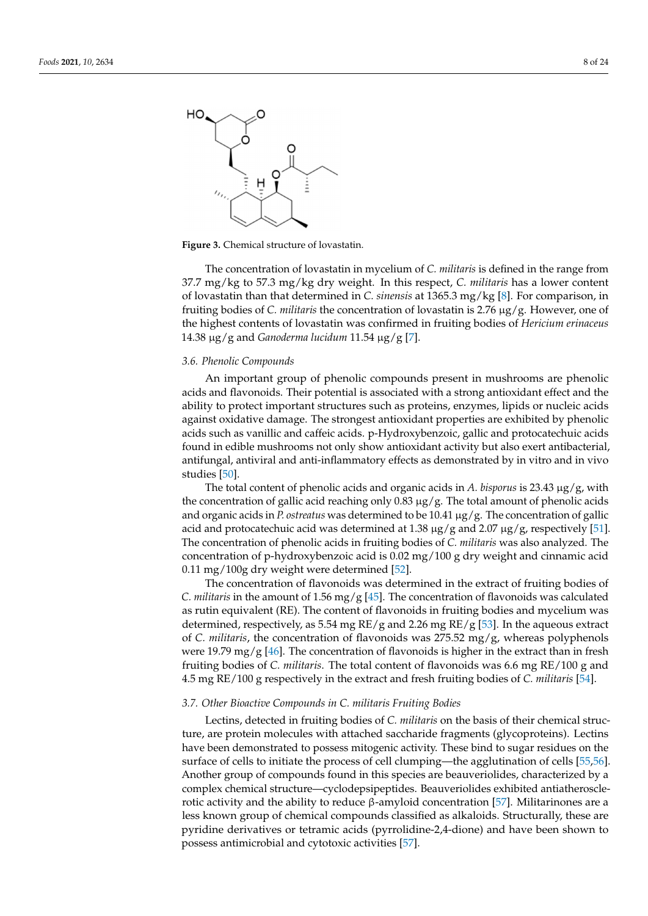<span id="page-7-0"></span>

**Figure 3.** Chemical structure of lovastatin. **Figure 3.** Chemical structure of lovastatin.

The concentration of lovastatin in mycelium of *C. militaris* is defined in the range The concentration of lovastatin in mycelium of *C. militaris* is defined in the range from from 37.7 mg/kg to 57.3 mg/kg dry weight. In this respect, *C. militaris* has a lower content 37.7 mg/kg to 57.3 mg/kg dry weight. In this respect, *C. militaris* has a lower content of lovastatin than that determined in *C. sinensis* at 1365.3 mg/kg [8]. For comparison, in of lovastatin than that determined in *C. sinensis* at 1365.3 mg/kg [\[8\]](#page-17-7). For comparison, in fruiting bodies of *C. militaris* the concentration of lovastatin is 2.76 μg/g. However, one of fruiting bodies of *C. militaris* the concentration of lovastatin is 2.76 µg/g. However, one of the highest contents of lovastatin was confirmed in fruiting bodies of *Hericium erinaceus* the highest contents of lovastatin was confirmed in fruiting bodies of *Hericium erinaceus* 14.38 μg/g and *Ganoderma lucidum* 11.54 μg/g [7]. 14.38 µg/g and *Ganoderma lucidum* 11.54 µg/g [\[7\]](#page-17-6).

ducing the development of coronary atherosclerosis in patients with coronary artery dis-

# *3.6. Phenolic Compounds 3.6. Phenolic Compounds*

An important group of phenolic compounds present in mushrooms are phenolic acids and flavonoids. Their potential is associated with a strong antioxidant effect and the acids and flavonoids. Their potential is associated with a strong antioxidant effect and the ability to protect important structures such as proteins, enzymes, lipids or nucleic acids ability to protect important structures such as proteins, enzymes, lipids or nucleic acids against oxidative damage. The strongest antioxidant properties are exhibited by phenolic acids such as vanillic and caffeic acids. p-Hydroxybenzoic, gallic and protocatechuic acids acids such as vanillic and caffeic acids. p-Hydroxybenzoic, gallic and protocatechuic acids found in edible mushrooms not only show antioxidant activity but also exert antibacterial, found in equal only show  $\mathbf{h}$  and  $\mathbf{h}$  and  $\mathbf{h}$  and  $\mathbf{h}$  and  $\mathbf{h}$  also exert and  $\mathbf{h}$  and  $\mathbf{h}$  and  $\mathbf{h}$  and  $\mathbf{h}$  and  $\mathbf{h}$  and antifungal, antiviral and anti-inflammatory effects as demonstrated by in vitro and in vivo<br>studies l501 against oxidative damage. The strongest antioxidant properties are exhibited by phenolic studies [\[50\]](#page-19-6).

studies [50]. The total content of phenolic acids and organic acids in *A. bisporus* is 23.43 µg/g, with The total content of phenolic acids and organic acids in *A. bisporus* is 23.43 μg/g, with the concentration of gallic acid reaching only 0.83 µg/g. The total amount of phenolic acids and organic acids in *P. ostreatus* was determined to be 10.41 μg/g. The concentration of gallic acid and protocatechuic acid was determined at 1.38 μg/g and 2.07 μg/g, respectively [\[51\]](#page-19-7). The concentration of phenolic acids in fruiting bodies of *C. militaris* was also analyzed. The concentration of p-hydroxybenzoic acid is 0.02 mg/100 g dry weight and cinnamic acid  $0.11 \text{ mg}/100$ g dry weight were determined [\[52\]](#page-19-8).

The concentration of flavonoids was determined in the extract of fruiting bodies of C. *militaris* in the amount of 1.56 mg/g [\[45\]](#page-19-1). The concentration of flavonoids was calculated as rutin equivalent (RE). The content of flavonoids in fruiting bodies and mycelium was determined, respectively, as 5.54 mg RE/g and 2.26 mg RE/g [\[53\]](#page-19-9). In the aqueous extract of *C. militaris*, the concentration of flavonoids was 275.52 mg/g, whereas polyphenols were 19.79 mg/g [\[46\]](#page-19-2). The concentration of flavonoids is higher in the extract than in fresh fruiting bodies of *C. militaris*. The total content of flavonoids was 6.6 mg RE/100 g and 4.5 mg RE/100 g respectively in the extract and fresh fruiting bodies of *C. militaris* [\[54\]](#page-19-10).

### *3.7. Other Bioactive Compounds in C. militaris Fruiting Bodies*

Lectins, detected in fruiting bodies of *C. militaris* on the basis of their chemical structure, are protein molecules with attached saccharide fragments (glycoproteins). Lectins have been demonstrated to possess mitogenic activity. These bind to sugar residues on the surface of cells to initiate the process of cell clumping—the agglutination of cells [\[55,](#page-19-11)[56\]](#page-19-12). Another group of compounds found in this species are beauveriolides, characterized by a complex chemical structure—cyclodepsipeptides. Beauveriolides exhibited antiatheroscle-rotic activity and the ability to reduce β-amyloid concentration [\[57\]](#page-19-13). Militarinones are a less known group of chemical compounds classified as alkaloids. Structurally, these are pyridine derivatives or tetramic acids (pyrrolidine-2,4-dione) and have been shown to possess antimicrobial and cytotoxic activities [\[57\]](#page-19-13).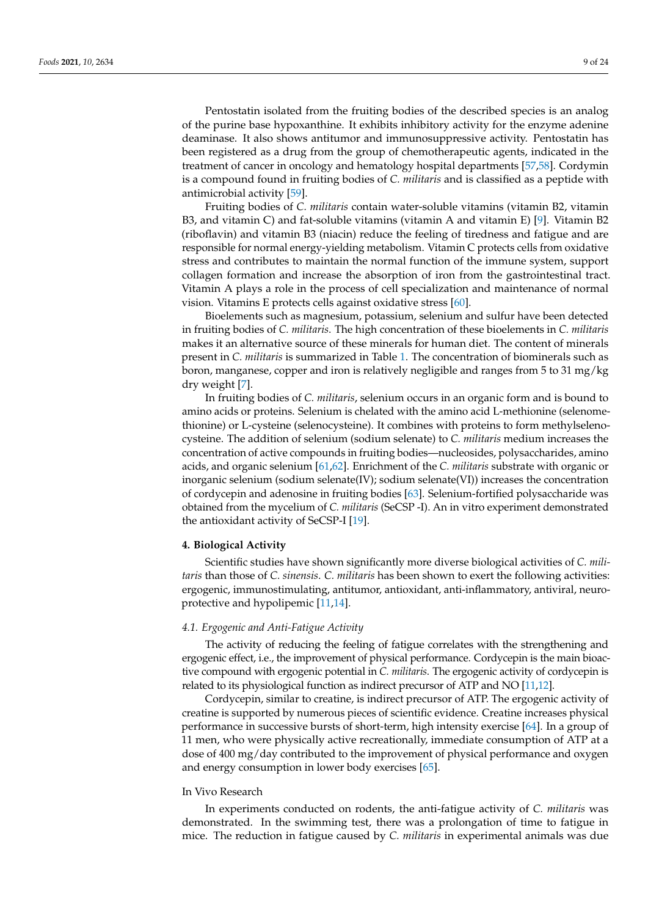Pentostatin isolated from the fruiting bodies of the described species is an analog of the purine base hypoxanthine. It exhibits inhibitory activity for the enzyme adenine deaminase. It also shows antitumor and immunosuppressive activity. Pentostatin has been registered as a drug from the group of chemotherapeutic agents, indicated in the treatment of cancer in oncology and hematology hospital departments [\[57,](#page-19-13)[58\]](#page-19-14). Cordymin is a compound found in fruiting bodies of *C. militaris* and is classified as a peptide with antimicrobial activity [\[59\]](#page-19-15).

Fruiting bodies of *C. militaris* contain water-soluble vitamins (vitamin B2, vitamin B3, and vitamin C) and fat-soluble vitamins (vitamin A and vitamin E) [\[9\]](#page-17-8). Vitamin B2 (riboflavin) and vitamin B3 (niacin) reduce the feeling of tiredness and fatigue and are responsible for normal energy-yielding metabolism. Vitamin C protects cells from oxidative stress and contributes to maintain the normal function of the immune system, support collagen formation and increase the absorption of iron from the gastrointestinal tract. Vitamin A plays a role in the process of cell specialization and maintenance of normal vision. Vitamins E protects cells against oxidative stress [\[60\]](#page-19-16).

Bioelements such as magnesium, potassium, selenium and sulfur have been detected in fruiting bodies of *C. militaris*. The high concentration of these bioelements in *C. militaris* makes it an alternative source of these minerals for human diet. The content of minerals present in *C. militaris* is summarized in Table [1.](#page-2-0) The concentration of biominerals such as boron, manganese, copper and iron is relatively negligible and ranges from 5 to 31 mg/kg dry weight [\[7\]](#page-17-6).

In fruiting bodies of *C. militaris*, selenium occurs in an organic form and is bound to amino acids or proteins. Selenium is chelated with the amino acid L-methionine (selenomethionine) or L-cysteine (selenocysteine). It combines with proteins to form methylselenocysteine. The addition of selenium (sodium selenate) to *C. militaris* medium increases the concentration of active compounds in fruiting bodies—nucleosides, polysaccharides, amino acids, and organic selenium [\[61](#page-19-17)[,62\]](#page-19-18). Enrichment of the *C. militaris* substrate with organic or inorganic selenium (sodium selenate(IV); sodium selenate(VI)) increases the concentration of cordycepin and adenosine in fruiting bodies [\[63\]](#page-19-19). Selenium-fortified polysaccharide was obtained from the mycelium of *C. militaris* (SeCSP -I). An in vitro experiment demonstrated the antioxidant activity of SeCSP-I [\[19\]](#page-18-1).

### **4. Biological Activity**

Scientific studies have shown significantly more diverse biological activities of *C. militaris* than those of *C. sinensis*. *C. militaris* has been shown to exert the following activities: ergogenic, immunostimulating, antitumor, antioxidant, anti-inflammatory, antiviral, neuroprotective and hypolipemic [\[11,](#page-17-10)[14\]](#page-17-13).

### *4.1. Ergogenic and Anti-Fatigue Activity*

The activity of reducing the feeling of fatigue correlates with the strengthening and ergogenic effect, i.e., the improvement of physical performance. Cordycepin is the main bioactive compound with ergogenic potential in *C. militaris*. The ergogenic activity of cordycepin is related to its physiological function as indirect precursor of ATP and NO [\[11,](#page-17-10)[12\]](#page-17-11).

Cordycepin, similar to creatine, is indirect precursor of ATP. The ergogenic activity of creatine is supported by numerous pieces of scientific evidence. Creatine increases physical performance in successive bursts of short-term, high intensity exercise [\[64\]](#page-19-20). In a group of 11 men, who were physically active recreationally, immediate consumption of ATP at a dose of 400 mg/day contributed to the improvement of physical performance and oxygen and energy consumption in lower body exercises [\[65\]](#page-19-21).

# In Vivo Research

In experiments conducted on rodents, the anti-fatigue activity of *C. militaris* was demonstrated. In the swimming test, there was a prolongation of time to fatigue in mice. The reduction in fatigue caused by *C. militaris* in experimental animals was due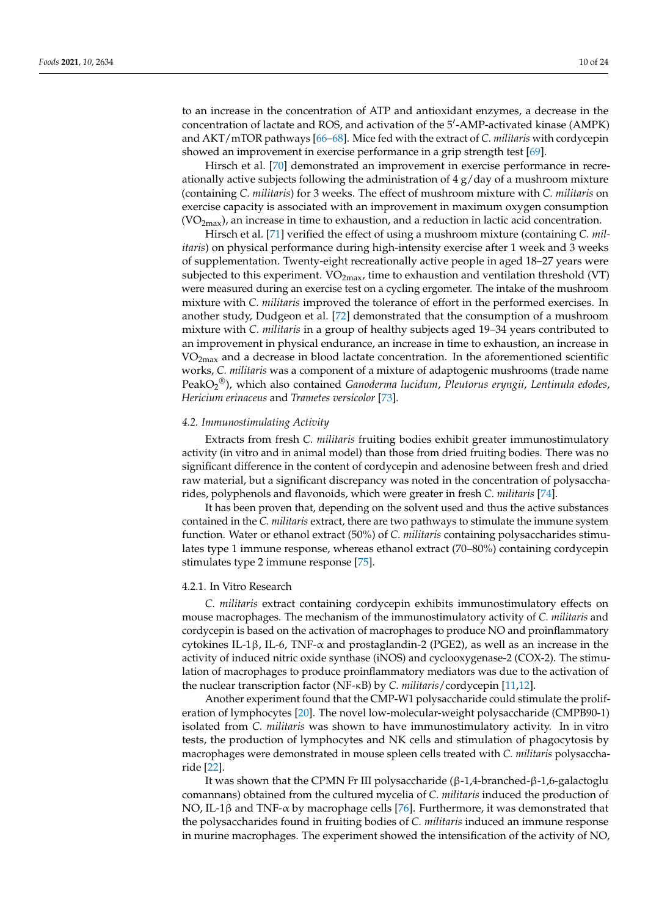to an increase in the concentration of ATP and antioxidant enzymes, a decrease in the concentration of lactate and ROS, and activation of the 5'-AMP-activated kinase (AMPK) and AKT/mTOR pathways [\[66](#page-19-22)[–68\]](#page-19-23). Mice fed with the extract of *C. militaris* with cordycepin showed an improvement in exercise performance in a grip strength test [\[69\]](#page-19-24).

Hirsch et al. [\[70\]](#page-19-25) demonstrated an improvement in exercise performance in recreationally active subjects following the administration of  $4 \frac{g}{day}$  of a mushroom mixture (containing *C. militaris*) for 3 weeks. The effect of mushroom mixture with *C. militaris* on exercise capacity is associated with an improvement in maximum oxygen consumption  $(VO<sub>2max</sub>)$ , an increase in time to exhaustion, and a reduction in lactic acid concentration.

Hirsch et al. [\[71\]](#page-20-0) verified the effect of using a mushroom mixture (containing *C. militaris*) on physical performance during high-intensity exercise after 1 week and 3 weeks of supplementation. Twenty-eight recreationally active people in aged 18–27 years were subjected to this experiment.  $VO_{2max}$ , time to exhaustion and ventilation threshold (VT) were measured during an exercise test on a cycling ergometer. The intake of the mushroom mixture with *C. militaris* improved the tolerance of effort in the performed exercises. In another study, Dudgeon et al. [\[72\]](#page-20-1) demonstrated that the consumption of a mushroom mixture with *C. militaris* in a group of healthy subjects aged 19–34 years contributed to an improvement in physical endurance, an increase in time to exhaustion, an increase in  $VO<sub>2max</sub>$  and a decrease in blood lactate concentration. In the aforementioned scientific works, *C. militaris* was a component of a mixture of adaptogenic mushrooms (trade name PeakO<sup>2</sup> ®), which also contained *Ganoderma lucidum*, *Pleutorus eryngii*, *Lentinula edodes*, *Hericium erinaceus* and *Trametes versicolor* [\[73\]](#page-20-2).

# *4.2. Immunostimulating Activity*

Extracts from fresh *C. militaris* fruiting bodies exhibit greater immunostimulatory activity (in vitro and in animal model) than those from dried fruiting bodies. There was no significant difference in the content of cordycepin and adenosine between fresh and dried raw material, but a significant discrepancy was noted in the concentration of polysaccharides, polyphenols and flavonoids, which were greater in fresh *C. militaris* [\[74\]](#page-20-3).

It has been proven that, depending on the solvent used and thus the active substances contained in the *C. militaris* extract, there are two pathways to stimulate the immune system function. Water or ethanol extract (50%) of *C. militaris* containing polysaccharides stimulates type 1 immune response, whereas ethanol extract (70–80%) containing cordycepin stimulates type 2 immune response [\[75\]](#page-20-4).

# 4.2.1. In Vitro Research

*C. militaris* extract containing cordycepin exhibits immunostimulatory effects on mouse macrophages. The mechanism of the immunostimulatory activity of *C. militaris* and cordycepin is based on the activation of macrophages to produce NO and proinflammatory cytokines IL-1β, IL-6, TNF-α and prostaglandin-2 (PGE2), as well as an increase in the activity of induced nitric oxide synthase (iNOS) and cyclooxygenase-2 (COX-2). The stimulation of macrophages to produce proinflammatory mediators was due to the activation of the nuclear transcription factor (NF-κB) by *C. militaris*/cordycepin [\[11](#page-17-10)[,12\]](#page-17-11).

Another experiment found that the CMP-W1 polysaccharide could stimulate the proliferation of lymphocytes [\[20\]](#page-18-2). The novel low-molecular-weight polysaccharide (CMPB90-1) isolated from *C. militaris* was shown to have immunostimulatory activity. In in vitro tests, the production of lymphocytes and NK cells and stimulation of phagocytosis by macrophages were demonstrated in mouse spleen cells treated with *C. militaris* polysaccharide [\[22\]](#page-18-4).

It was shown that the CPMN Fr III polysaccharide  $(β-1,4-branched-β-1,6-galactoglu)$ comannans) obtained from the cultured mycelia of *C. militaris* induced the production of NO, IL-1β and TNF- $\alpha$  by macrophage cells [\[76\]](#page-20-5). Furthermore, it was demonstrated that the polysaccharides found in fruiting bodies of *C. militaris* induced an immune response in murine macrophages. The experiment showed the intensification of the activity of NO,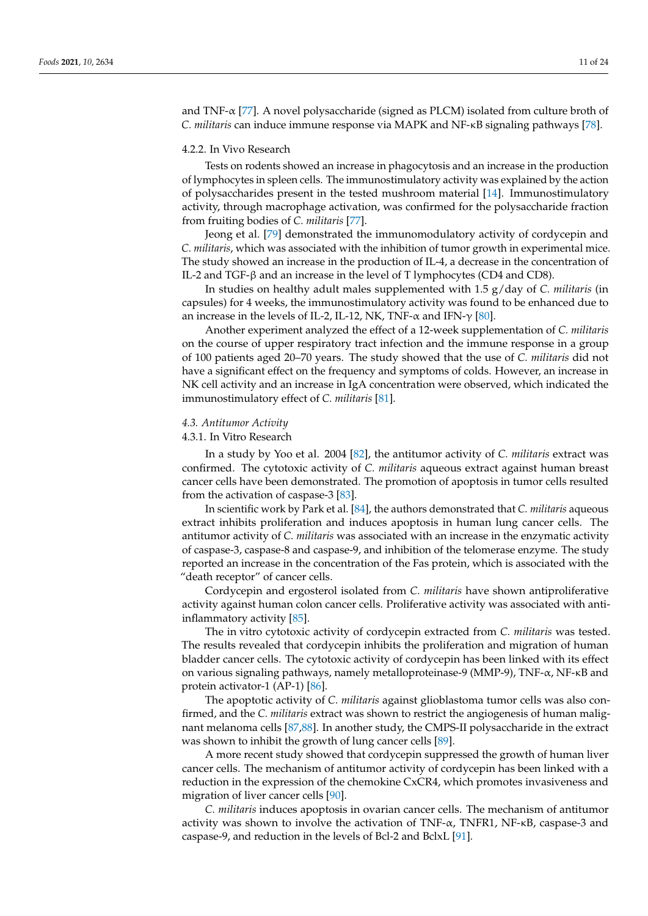and TNF-α [\[77\]](#page-20-6). A novel polysaccharide (signed as PLCM) isolated from culture broth of *C. militaris* can induce immune response via MAPK and NF-κB signaling pathways [\[78\]](#page-20-7).

# 4.2.2. In Vivo Research

Tests on rodents showed an increase in phagocytosis and an increase in the production of lymphocytes in spleen cells. The immunostimulatory activity was explained by the action of polysaccharides present in the tested mushroom material [\[14\]](#page-17-13). Immunostimulatory activity, through macrophage activation, was confirmed for the polysaccharide fraction from fruiting bodies of *C. militaris* [\[77\]](#page-20-6).

Jeong et al. [\[79\]](#page-20-8) demonstrated the immunomodulatory activity of cordycepin and *C. militaris*, which was associated with the inhibition of tumor growth in experimental mice. The study showed an increase in the production of IL-4, a decrease in the concentration of IL-2 and TGF-β and an increase in the level of T lymphocytes (CD4 and CD8).

In studies on healthy adult males supplemented with 1.5 g/day of *C. militaris* (in capsules) for 4 weeks, the immunostimulatory activity was found to be enhanced due to an increase in the levels of IL-2, IL-12, NK, TNF- $\alpha$  and IFN- $\gamma$  [\[80\]](#page-20-9).

Another experiment analyzed the effect of a 12-week supplementation of *C. militaris* on the course of upper respiratory tract infection and the immune response in a group of 100 patients aged 20–70 years. The study showed that the use of *C. militaris* did not have a significant effect on the frequency and symptoms of colds. However, an increase in NK cell activity and an increase in IgA concentration were observed, which indicated the immunostimulatory effect of *C. militaris* [\[81\]](#page-20-10).

# *4.3. Antitumor Activity*

# 4.3.1. In Vitro Research

In a study by Yoo et al. 2004 [\[82\]](#page-20-11), the antitumor activity of *C. militaris* extract was confirmed. The cytotoxic activity of *C. militaris* aqueous extract against human breast cancer cells have been demonstrated. The promotion of apoptosis in tumor cells resulted from the activation of caspase-3 [\[83\]](#page-20-12).

In scientific work by Park et al. [\[84\]](#page-20-13), the authors demonstrated that *C. militaris* aqueous extract inhibits proliferation and induces apoptosis in human lung cancer cells. The antitumor activity of *C. militaris* was associated with an increase in the enzymatic activity of caspase-3, caspase-8 and caspase-9, and inhibition of the telomerase enzyme. The study reported an increase in the concentration of the Fas protein, which is associated with the "death receptor" of cancer cells.

Cordycepin and ergosterol isolated from *C. militaris* have shown antiproliferative activity against human colon cancer cells. Proliferative activity was associated with antiinflammatory activity [\[85\]](#page-20-14).

The in vitro cytotoxic activity of cordycepin extracted from *C. militaris* was tested. The results revealed that cordycepin inhibits the proliferation and migration of human bladder cancer cells. The cytotoxic activity of cordycepin has been linked with its effect on various signaling pathways, namely metalloproteinase-9 (MMP-9), TNF-α, NF-κB and protein activator-1 (AP-1) [\[86\]](#page-20-15).

The apoptotic activity of *C. militaris* against glioblastoma tumor cells was also confirmed, and the *C. militaris* extract was shown to restrict the angiogenesis of human malignant melanoma cells [\[87](#page-20-16)[,88\]](#page-20-17). In another study, the CMPS-II polysaccharide in the extract was shown to inhibit the growth of lung cancer cells [\[89\]](#page-20-18).

A more recent study showed that cordycepin suppressed the growth of human liver cancer cells. The mechanism of antitumor activity of cordycepin has been linked with a reduction in the expression of the chemokine CxCR4, which promotes invasiveness and migration of liver cancer cells [\[90\]](#page-20-19).

*C. militaris* induces apoptosis in ovarian cancer cells. The mechanism of antitumor activity was shown to involve the activation of  $TNF-\alpha$ ,  $TNFR1$ ,  $NF-\kappa B$ , caspase-3 and caspase-9, and reduction in the levels of Bcl-2 and BclxL [\[91\]](#page-20-20).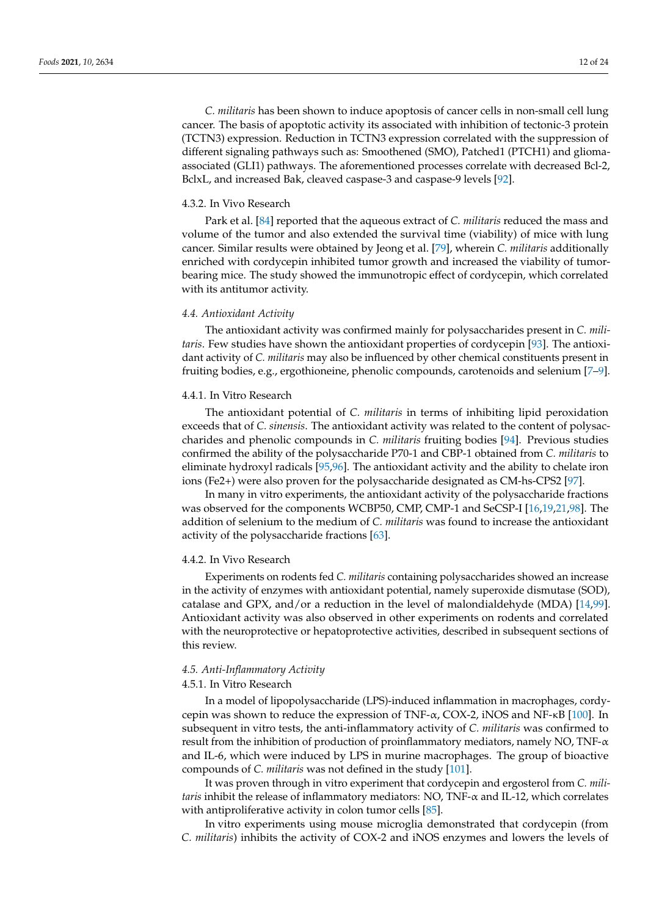*C. militaris* has been shown to induce apoptosis of cancer cells in non-small cell lung cancer. The basis of apoptotic activity its associated with inhibition of tectonic-3 protein (TCTN3) expression. Reduction in TCTN3 expression correlated with the suppression of different signaling pathways such as: Smoothened (SMO), Patched1 (PTCH1) and gliomaassociated (GLI1) pathways. The aforementioned processes correlate with decreased Bcl-2, BclxL, and increased Bak, cleaved caspase-3 and caspase-9 levels [\[92\]](#page-20-21).

# 4.3.2. In Vivo Research

Park et al. [\[84\]](#page-20-13) reported that the aqueous extract of *C. militaris* reduced the mass and volume of the tumor and also extended the survival time (viability) of mice with lung cancer. Similar results were obtained by Jeong et al. [\[79\]](#page-20-8), wherein *C. militaris* additionally enriched with cordycepin inhibited tumor growth and increased the viability of tumorbearing mice. The study showed the immunotropic effect of cordycepin, which correlated with its antitumor activity.

# *4.4. Antioxidant Activity*

The antioxidant activity was confirmed mainly for polysaccharides present in *C. militaris*. Few studies have shown the antioxidant properties of cordycepin [\[93\]](#page-20-22). The antioxidant activity of *C. militaris* may also be influenced by other chemical constituents present in fruiting bodies, e.g., ergothioneine, phenolic compounds, carotenoids and selenium [\[7–](#page-17-6)[9\]](#page-17-8).

### 4.4.1. In Vitro Research

The antioxidant potential of *C. militaris* in terms of inhibiting lipid peroxidation exceeds that of *C. sinensis*. The antioxidant activity was related to the content of polysaccharides and phenolic compounds in *C. militaris* fruiting bodies [\[94\]](#page-20-23). Previous studies confirmed the ability of the polysaccharide P70-1 and CBP-1 obtained from *C. militaris* to eliminate hydroxyl radicals [\[95,](#page-20-24)[96\]](#page-20-25). The antioxidant activity and the ability to chelate iron ions (Fe2+) were also proven for the polysaccharide designated as CM-hs-CPS2 [\[97\]](#page-21-0).

In many in vitro experiments, the antioxidant activity of the polysaccharide fractions was observed for the components WCBP50, CMP, CMP-1 and SeCSP-I [\[16](#page-17-15)[,19](#page-18-1)[,21](#page-18-3)[,98\]](#page-21-1). The addition of selenium to the medium of *C. militaris* was found to increase the antioxidant activity of the polysaccharide fractions [\[63\]](#page-19-19).

### 4.4.2. In Vivo Research

Experiments on rodents fed *C. militaris* containing polysaccharides showed an increase in the activity of enzymes with antioxidant potential, namely superoxide dismutase (SOD), catalase and GPX, and/or a reduction in the level of malondialdehyde (MDA) [\[14,](#page-17-13)[99\]](#page-21-2). Antioxidant activity was also observed in other experiments on rodents and correlated with the neuroprotective or hepatoprotective activities, described in subsequent sections of this review.

# *4.5. Anti-Inflammatory Activity*

# 4.5.1. In Vitro Research

In a model of lipopolysaccharide (LPS)-induced inflammation in macrophages, cordycepin was shown to reduce the expression of TNF-α, COX-2, iNOS and NF-κB [\[100\]](#page-21-3). In subsequent in vitro tests, the anti-inflammatory activity of *C. militaris* was confirmed to result from the inhibition of production of proinflammatory mediators, namely NO, TNF-α and IL-6, which were induced by LPS in murine macrophages. The group of bioactive compounds of *C. militaris* was not defined in the study [\[101\]](#page-21-4).

It was proven through in vitro experiment that cordycepin and ergosterol from *C. militaris* inhibit the release of inflammatory mediators: NO, TNF-α and IL-12, which correlates with antiproliferative activity in colon tumor cells [\[85\]](#page-20-14).

In vitro experiments using mouse microglia demonstrated that cordycepin (from *C. militaris*) inhibits the activity of COX-2 and iNOS enzymes and lowers the levels of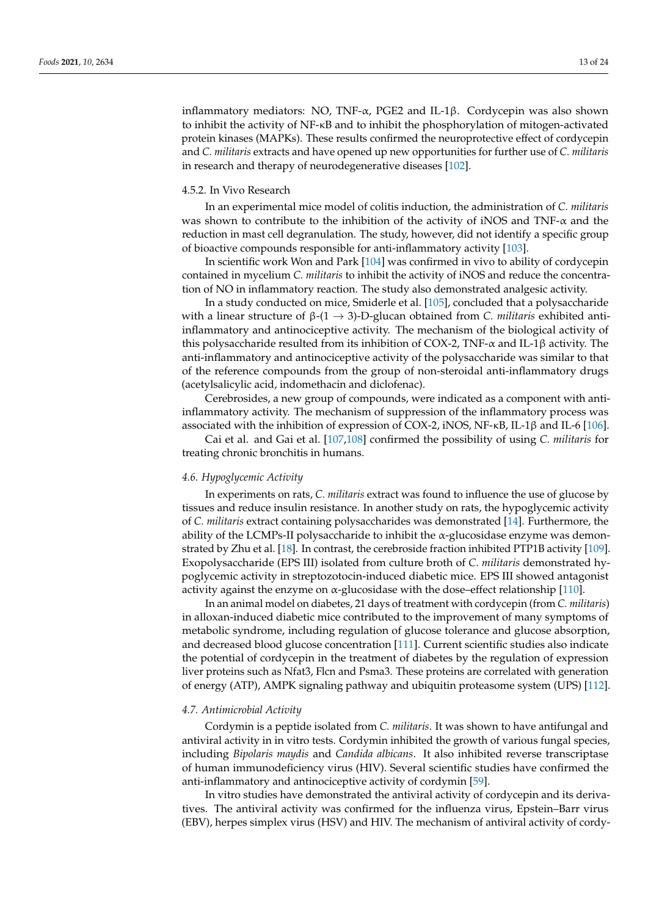inflammatory mediators: NO, TNF-α, PGE2 and IL-1β. Cordycepin was also shown to inhibit the activity of NF-κB and to inhibit the phosphorylation of mitogen-activated protein kinases (MAPKs). These results confirmed the neuroprotective effect of cordycepin and *C. militaris* extracts and have opened up new opportunities for further use of *C. militaris* in research and therapy of neurodegenerative diseases [\[102\]](#page-21-5).

# 4.5.2. In Vivo Research

In an experimental mice model of colitis induction, the administration of *C. militaris* was shown to contribute to the inhibition of the activity of iNOS and TNF- $\alpha$  and the reduction in mast cell degranulation. The study, however, did not identify a specific group of bioactive compounds responsible for anti-inflammatory activity [\[103\]](#page-21-6).

In scientific work Won and Park [\[104\]](#page-21-7) was confirmed in vivo to ability of cordycepin contained in mycelium *C. militaris* to inhibit the activity of iNOS and reduce the concentration of NO in inflammatory reaction. The study also demonstrated analgesic activity.

In a study conducted on mice, Smiderle et al. [\[105\]](#page-21-8), concluded that a polysaccharide with a linear structure of  $β$ -(1  $\rightarrow$  3)-D-glucan obtained from *C. militaris* exhibited antiinflammatory and antinociceptive activity. The mechanism of the biological activity of this polysaccharide resulted from its inhibition of COX-2, TNF- $\alpha$  and IL-1 $\beta$  activity. The anti-inflammatory and antinociceptive activity of the polysaccharide was similar to that of the reference compounds from the group of non-steroidal anti-inflammatory drugs (acetylsalicylic acid, indomethacin and diclofenac).

Cerebrosides, a new group of compounds, were indicated as a component with antiinflammatory activity. The mechanism of suppression of the inflammatory process was associated with the inhibition of expression of COX-2, iNOS,  $NF-KB$ , IL-1 $\beta$  and IL-6 [\[106\]](#page-21-9).

Cai et al. and Gai et al. [\[107](#page-21-10)[,108\]](#page-21-11) confirmed the possibility of using *C. militaris* for treating chronic bronchitis in humans.

# *4.6. Hypoglycemic Activity*

In experiments on rats, *C. militaris* extract was found to influence the use of glucose by tissues and reduce insulin resistance. In another study on rats, the hypoglycemic activity of *C. militaris* extract containing polysaccharides was demonstrated [\[14\]](#page-17-13). Furthermore, the ability of the LCMPs-II polysaccharide to inhibit the  $\alpha$ -glucosidase enzyme was demonstrated by Zhu et al. [\[18\]](#page-18-0). In contrast, the cerebroside fraction inhibited PTP1B activity [\[109\]](#page-21-12). Exopolysaccharide (EPS III) isolated from culture broth of *C. militaris* demonstrated hypoglycemic activity in streptozotocin-induced diabetic mice. EPS III showed antagonist activity against the enzyme on  $\alpha$ -glucosidase with the dose–effect relationship [\[110\]](#page-21-13).

In an animal model on diabetes, 21 days of treatment with cordycepin (from *C. militaris*) in alloxan-induced diabetic mice contributed to the improvement of many symptoms of metabolic syndrome, including regulation of glucose tolerance and glucose absorption, and decreased blood glucose concentration [\[111\]](#page-21-14). Current scientific studies also indicate the potential of cordycepin in the treatment of diabetes by the regulation of expression liver proteins such as Nfat3, Flcn and Psma3. These proteins are correlated with generation of energy (ATP), AMPK signaling pathway and ubiquitin proteasome system (UPS) [\[112\]](#page-21-15).

### *4.7. Antimicrobial Activity*

Cordymin is a peptide isolated from *C. militaris*. It was shown to have antifungal and antiviral activity in in vitro tests. Cordymin inhibited the growth of various fungal species, including *Bipolaris maydis* and *Candida albicans*. It also inhibited reverse transcriptase of human immunodeficiency virus (HIV). Several scientific studies have confirmed the anti-inflammatory and antinociceptive activity of cordymin [\[59\]](#page-19-15).

In vitro studies have demonstrated the antiviral activity of cordycepin and its derivatives. The antiviral activity was confirmed for the influenza virus, Epstein–Barr virus (EBV), herpes simplex virus (HSV) and HIV. The mechanism of antiviral activity of cordy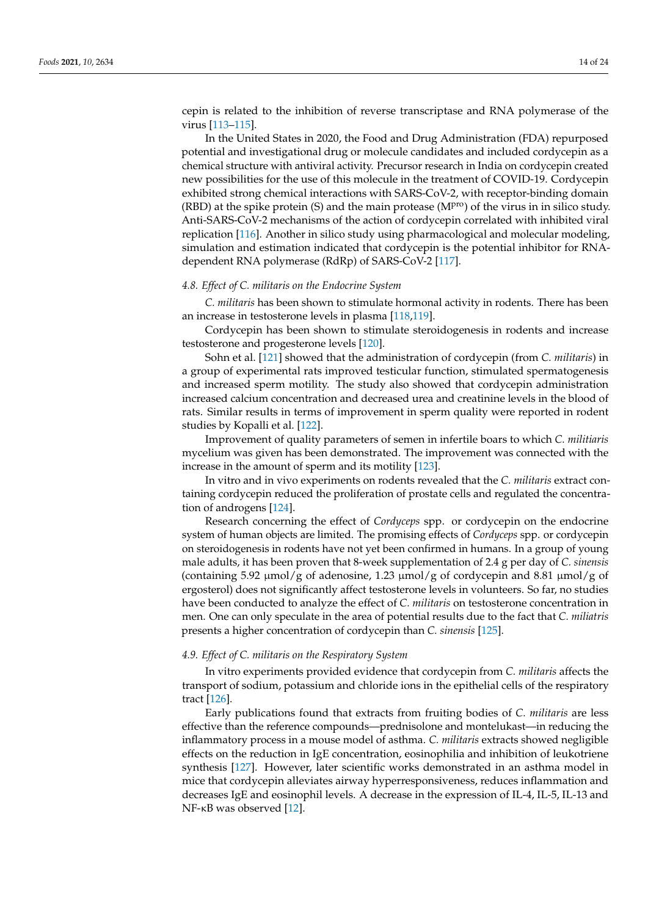cepin is related to the inhibition of reverse transcriptase and RNA polymerase of the virus [\[113](#page-21-16)[–115\]](#page-21-17).

In the United States in 2020, the Food and Drug Administration (FDA) repurposed potential and investigational drug or molecule candidates and included cordycepin as a chemical structure with antiviral activity. Precursor research in India on cordycepin created new possibilities for the use of this molecule in the treatment of COVID-19. Cordycepin exhibited strong chemical interactions with SARS-CoV-2, with receptor-binding domain (RBD) at the spike protein (S) and the main protease ( $M<sup>pro</sup>$ ) of the virus in in silico study. Anti-SARS-CoV-2 mechanisms of the action of cordycepin correlated with inhibited viral replication [\[116\]](#page-21-18). Another in silico study using pharmacological and molecular modeling, simulation and estimation indicated that cordycepin is the potential inhibitor for RNAdependent RNA polymerase (RdRp) of SARS-CoV-2 [\[117\]](#page-21-19).

# *4.8. Effect of C. militaris on the Endocrine System*

*C. militaris* has been shown to stimulate hormonal activity in rodents. There has been an increase in testosterone levels in plasma [\[118](#page-21-20)[,119\]](#page-21-21).

Cordycepin has been shown to stimulate steroidogenesis in rodents and increase testosterone and progesterone levels [\[120\]](#page-21-22).

Sohn et al. [\[121\]](#page-22-0) showed that the administration of cordycepin (from *C. militaris*) in a group of experimental rats improved testicular function, stimulated spermatogenesis and increased sperm motility. The study also showed that cordycepin administration increased calcium concentration and decreased urea and creatinine levels in the blood of rats. Similar results in terms of improvement in sperm quality were reported in rodent studies by Kopalli et al. [\[122\]](#page-22-1).

Improvement of quality parameters of semen in infertile boars to which *C. militiaris* mycelium was given has been demonstrated. The improvement was connected with the increase in the amount of sperm and its motility [\[123\]](#page-22-2).

In vitro and in vivo experiments on rodents revealed that the *C. militaris* extract containing cordycepin reduced the proliferation of prostate cells and regulated the concentration of androgens [\[124\]](#page-22-3).

Research concerning the effect of *Cordyceps* spp. or cordycepin on the endocrine system of human objects are limited. The promising effects of *Cordyceps* spp. or cordycepin on steroidogenesis in rodents have not yet been confirmed in humans. In a group of young male adults, it has been proven that 8-week supplementation of 2.4 g per day of *C. sinensis* (containing 5.92  $\mu$ mol/g of adenosine, 1.23  $\mu$ mol/g of cordycepin and 8.81  $\mu$ mol/g of ergosterol) does not significantly affect testosterone levels in volunteers. So far, no studies have been conducted to analyze the effect of *C. militaris* on testosterone concentration in men. One can only speculate in the area of potential results due to the fact that *C. miliatris* presents a higher concentration of cordycepin than *C. sinensis* [\[125\]](#page-22-4).

### *4.9. Effect of C. militaris on the Respiratory System*

In vitro experiments provided evidence that cordycepin from *C. militaris* affects the transport of sodium, potassium and chloride ions in the epithelial cells of the respiratory tract [\[126\]](#page-22-5).

Early publications found that extracts from fruiting bodies of *C. militaris* are less effective than the reference compounds—prednisolone and montelukast—in reducing the inflammatory process in a mouse model of asthma. *C. militaris* extracts showed negligible effects on the reduction in IgE concentration, eosinophilia and inhibition of leukotriene synthesis [\[127\]](#page-22-6). However, later scientific works demonstrated in an asthma model in mice that cordycepin alleviates airway hyperresponsiveness, reduces inflammation and decreases IgE and eosinophil levels. A decrease in the expression of IL-4, IL-5, IL-13 and NF-κB was observed [\[12\]](#page-17-11).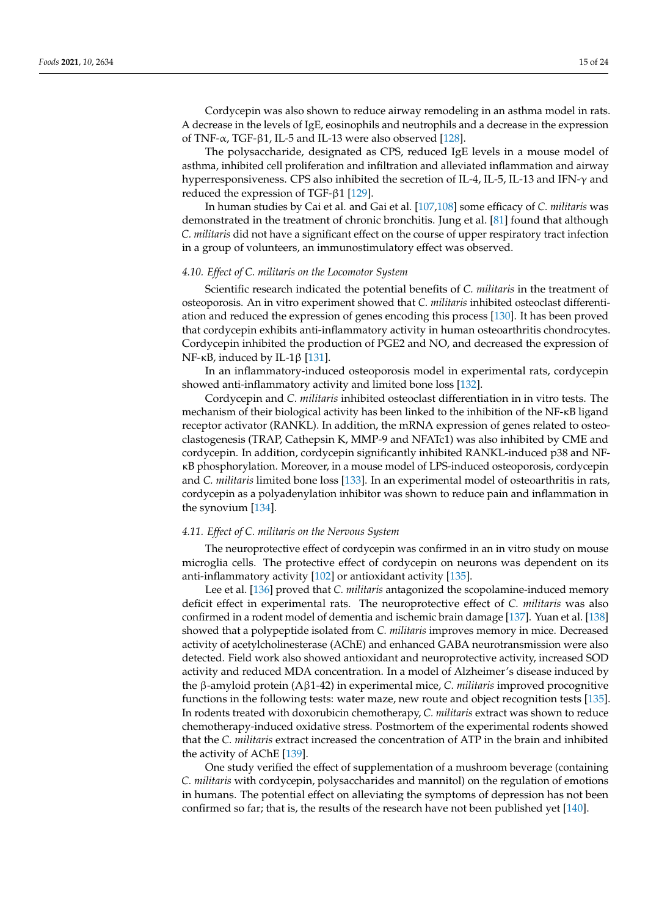Cordycepin was also shown to reduce airway remodeling in an asthma model in rats. A decrease in the levels of IgE, eosinophils and neutrophils and a decrease in the expression of TNF- $\alpha$ , TGF-β1, IL-5 and IL-13 were also observed [\[128\]](#page-22-7).

The polysaccharide, designated as CPS, reduced IgE levels in a mouse model of asthma, inhibited cell proliferation and infiltration and alleviated inflammation and airway hyperresponsiveness. CPS also inhibited the secretion of IL-4, IL-5, IL-13 and IFN-γ and reduced the expression of TGF-β1 [\[129\]](#page-22-8).

In human studies by Cai et al. and Gai et al. [\[107](#page-21-10)[,108\]](#page-21-11) some efficacy of *C. militaris* was demonstrated in the treatment of chronic bronchitis. Jung et al. [\[81\]](#page-20-10) found that although *C. militaris* did not have a significant effect on the course of upper respiratory tract infection in a group of volunteers, an immunostimulatory effect was observed.

# *4.10. Effect of C. militaris on the Locomotor System*

Scientific research indicated the potential benefits of *C. militaris* in the treatment of osteoporosis. An in vitro experiment showed that *C. militaris* inhibited osteoclast differentiation and reduced the expression of genes encoding this process [\[130\]](#page-22-9). It has been proved that cordycepin exhibits anti-inflammatory activity in human osteoarthritis chondrocytes. Cordycepin inhibited the production of PGE2 and NO, and decreased the expression of NF-κB, induced by IL-1β [\[131\]](#page-22-10).

In an inflammatory-induced osteoporosis model in experimental rats, cordycepin showed anti-inflammatory activity and limited bone loss [\[132\]](#page-22-11).

Cordycepin and *C. militaris* inhibited osteoclast differentiation in in vitro tests. The mechanism of their biological activity has been linked to the inhibition of the NF-κB ligand receptor activator (RANKL). In addition, the mRNA expression of genes related to osteoclastogenesis (TRAP, Cathepsin K, MMP-9 and NFATc1) was also inhibited by CME and cordycepin. In addition, cordycepin significantly inhibited RANKL-induced p38 and NFκB phosphorylation. Moreover, in a mouse model of LPS-induced osteoporosis, cordycepin and *C. militaris* limited bone loss [\[133\]](#page-22-12). In an experimental model of osteoarthritis in rats, cordycepin as a polyadenylation inhibitor was shown to reduce pain and inflammation in the synovium [\[134\]](#page-22-13).

# *4.11. Effect of C. militaris on the Nervous System*

The neuroprotective effect of cordycepin was confirmed in an in vitro study on mouse microglia cells. The protective effect of cordycepin on neurons was dependent on its anti-inflammatory activity [\[102\]](#page-21-5) or antioxidant activity [\[135\]](#page-22-14).

Lee et al. [\[136\]](#page-22-15) proved that *C. militaris* antagonized the scopolamine-induced memory deficit effect in experimental rats. The neuroprotective effect of *C. militaris* was also confirmed in a rodent model of dementia and ischemic brain damage [\[137\]](#page-22-16). Yuan et al. [\[138\]](#page-22-17) showed that a polypeptide isolated from *C. militaris* improves memory in mice. Decreased activity of acetylcholinesterase (AChE) and enhanced GABA neurotransmission were also detected. Field work also showed antioxidant and neuroprotective activity, increased SOD activity and reduced MDA concentration. In a model of Alzheimer's disease induced by the β-amyloid protein (Aβ1-42) in experimental mice, *C. militaris* improved procognitive functions in the following tests: water maze, new route and object recognition tests [\[135\]](#page-22-14). In rodents treated with doxorubicin chemotherapy, *C. militaris* extract was shown to reduce chemotherapy-induced oxidative stress. Postmortem of the experimental rodents showed that the *C. militaris* extract increased the concentration of ATP in the brain and inhibited the activity of AChE [\[139\]](#page-22-18).

One study verified the effect of supplementation of a mushroom beverage (containing *C. militaris* with cordycepin, polysaccharides and mannitol) on the regulation of emotions in humans. The potential effect on alleviating the symptoms of depression has not been confirmed so far; that is, the results of the research have not been published yet [\[140\]](#page-22-19).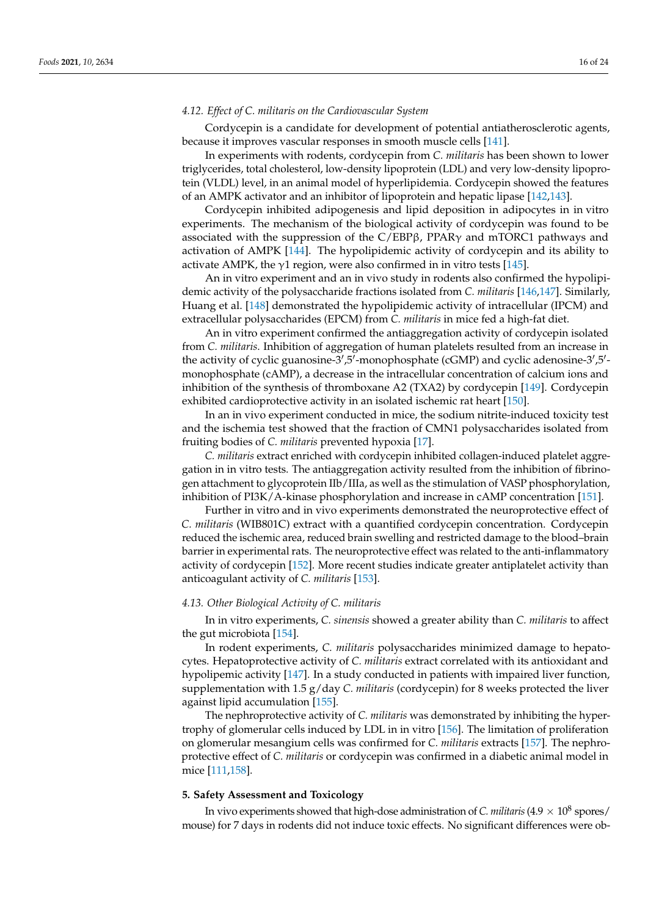# *4.12. Effect of C. militaris on the Cardiovascular System*

Cordycepin is a candidate for development of potential antiatherosclerotic agents, because it improves vascular responses in smooth muscle cells [\[141\]](#page-22-20).

In experiments with rodents, cordycepin from *C. militaris* has been shown to lower triglycerides, total cholesterol, low-density lipoprotein (LDL) and very low-density lipoprotein (VLDL) level, in an animal model of hyperlipidemia. Cordycepin showed the features of an AMPK activator and an inhibitor of lipoprotein and hepatic lipase [\[142](#page-22-21)[,143\]](#page-22-22).

Cordycepin inhibited adipogenesis and lipid deposition in adipocytes in in vitro experiments. The mechanism of the biological activity of cordycepin was found to be associated with the suppression of the C/EBPβ, PPARγ and mTORC1 pathways and activation of AMPK [\[144\]](#page-22-23). The hypolipidemic activity of cordycepin and its ability to activate AMPK, the  $\gamma$ 1 region, were also confirmed in in vitro tests [\[145\]](#page-22-24).

An in vitro experiment and an in vivo study in rodents also confirmed the hypolipidemic activity of the polysaccharide fractions isolated from *C. militaris* [\[146](#page-22-25)[,147\]](#page-23-0). Similarly, Huang et al. [\[148\]](#page-23-1) demonstrated the hypolipidemic activity of intracellular (IPCM) and extracellular polysaccharides (EPCM) from *C. militaris* in mice fed a high-fat diet.

An in vitro experiment confirmed the antiaggregation activity of cordycepin isolated from *C. militaris*. Inhibition of aggregation of human platelets resulted from an increase in the activity of cyclic guanosine-3', 5'-monophosphate (cGMP) and cyclic adenosine-3', 5'monophosphate (cAMP), a decrease in the intracellular concentration of calcium ions and inhibition of the synthesis of thromboxane A2 (TXA2) by cordycepin [\[149\]](#page-23-2). Cordycepin exhibited cardioprotective activity in an isolated ischemic rat heart [\[150\]](#page-23-3).

In an in vivo experiment conducted in mice, the sodium nitrite-induced toxicity test and the ischemia test showed that the fraction of CMN1 polysaccharides isolated from fruiting bodies of *C. militaris* prevented hypoxia [\[17\]](#page-17-16).

*C. militaris* extract enriched with cordycepin inhibited collagen-induced platelet aggregation in in vitro tests. The antiaggregation activity resulted from the inhibition of fibrinogen attachment to glycoprotein IIb/IIIa, as well as the stimulation of VASP phosphorylation, inhibition of PI3K/A-kinase phosphorylation and increase in cAMP concentration [\[151\]](#page-23-4).

Further in vitro and in vivo experiments demonstrated the neuroprotective effect of *C. militaris* (WIB801C) extract with a quantified cordycepin concentration. Cordycepin reduced the ischemic area, reduced brain swelling and restricted damage to the blood–brain barrier in experimental rats. The neuroprotective effect was related to the anti-inflammatory activity of cordycepin [\[152\]](#page-23-5). More recent studies indicate greater antiplatelet activity than anticoagulant activity of *C. militaris* [\[153\]](#page-23-6).

# *4.13. Other Biological Activity of C. militaris*

In in vitro experiments, *C. sinensis* showed a greater ability than *C. militaris* to affect the gut microbiota [\[154\]](#page-23-7).

In rodent experiments, *C. militaris* polysaccharides minimized damage to hepatocytes. Hepatoprotective activity of *C. militaris* extract correlated with its antioxidant and hypolipemic activity [\[147\]](#page-23-0). In a study conducted in patients with impaired liver function, supplementation with 1.5 g/day *C. militaris* (cordycepin) for 8 weeks protected the liver against lipid accumulation [\[155\]](#page-23-8).

The nephroprotective activity of *C. militaris* was demonstrated by inhibiting the hypertrophy of glomerular cells induced by LDL in in vitro [\[156\]](#page-23-9). The limitation of proliferation on glomerular mesangium cells was confirmed for *C. militaris* extracts [\[157\]](#page-23-10). The nephroprotective effect of *C. militaris* or cordycepin was confirmed in a diabetic animal model in mice [\[111](#page-21-14)[,158\]](#page-23-11).

# **5. Safety Assessment and Toxicology**

In vivo experiments showed that high-dose administration of *C. militaris* (4.9  $\times$  10<sup>8</sup> spores/ mouse) for 7 days in rodents did not induce toxic effects. No significant differences were ob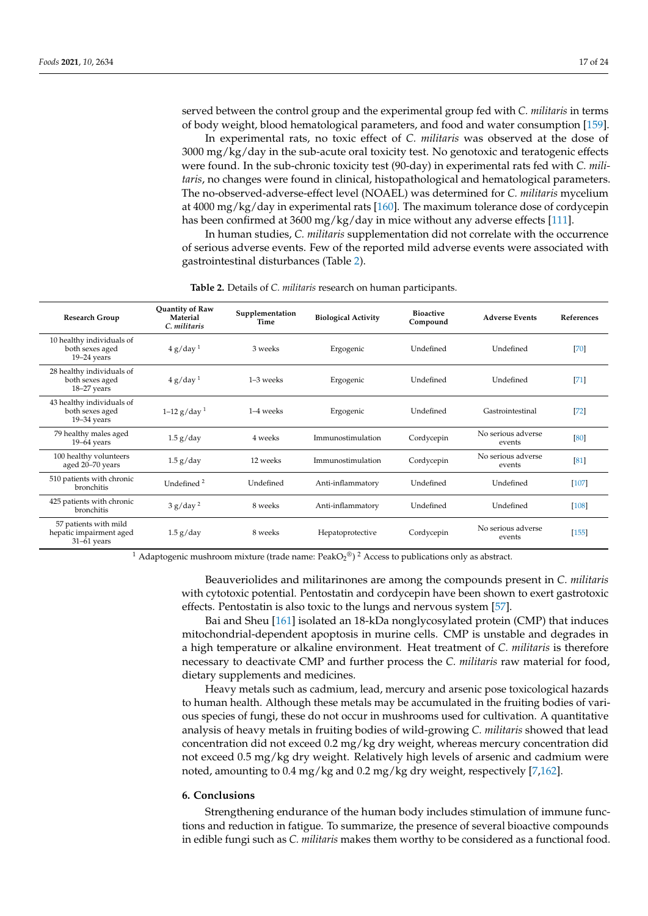served between the control group and the experimental group fed with *C. militaris* in terms of body weight, blood hematological parameters, and food and water consumption [\[159\]](#page-23-12).

In experimental rats, no toxic effect of *C. militaris* was observed at the dose of 3000 mg/kg/day in the sub-acute oral toxicity test. No genotoxic and teratogenic effects were found. In the sub-chronic toxicity test (90-day) in experimental rats fed with *C. militaris*, no changes were found in clinical, histopathological and hematological parameters. The no-observed-adverse-effect level (NOAEL) was determined for *C. militaris* mycelium at 4000 mg/kg/day in experimental rats [\[160\]](#page-23-13). The maximum tolerance dose of cordycepin has been confirmed at 3600 mg/kg/day in mice without any adverse effects [\[111\]](#page-21-14).

In human studies, *C. militaris* supplementation did not correlate with the occurrence of serious adverse events. Few of the reported mild adverse events were associated with gastrointestinal disturbances (Table [2\)](#page-16-0).

<span id="page-16-0"></span>

| Research Group                                                    | Quantity of Raw<br>Material<br>C. militaris | Supplementation<br>Time | <b>Biological Activity</b> | <b>Bioactive</b><br>Compound | <b>Adverse Events</b>        | <b>References</b> |
|-------------------------------------------------------------------|---------------------------------------------|-------------------------|----------------------------|------------------------------|------------------------------|-------------------|
| 10 healthy individuals of<br>both sexes aged<br>$19-24$ years     | 4 g/day <sup>1</sup>                        | 3 weeks                 | Ergogenic                  | Undefined                    | Undefined                    | [70]              |
| 28 healthy individuals of<br>both sexes aged<br>18-27 years       | 4 g/day <sup>1</sup>                        | 1-3 weeks               | Ergogenic                  | Undefined                    | Undefined                    | $[71]$            |
| 43 healthy individuals of<br>both sexes aged<br>$19 - 34$ years   | $1-12$ g/day <sup>1</sup>                   | 1-4 weeks               | Ergogenic                  | Undefined                    | Gastrointestinal             | $[72]$            |
| 79 healthy males aged<br>$19-64$ years                            | $1.5$ g/day                                 | 4 weeks                 | Immunostimulation          | Cordycepin                   | No serious adverse<br>events | [80]              |
| 100 healthy volunteers<br>aged 20-70 years                        | $1.5$ g/day                                 | 12 weeks                | Immunostimulation          | Cordycepin                   | No serious adverse<br>events | [81]              |
| 510 patients with chronic<br><b>bronchitis</b>                    | Undefined <sup>2</sup>                      | Undefined               | Anti-inflammatory          | Undefined                    | Undefined                    | $[107]$           |
| 425 patients with chronic<br>bronchitis                           | 3 g/day <sup>2</sup>                        | 8 weeks                 | Anti-inflammatory          | Undefined                    | Undefined                    | $[108]$           |
| 57 patients with mild<br>hepatic impairment aged<br>$31-61$ years | $1.5$ g/day                                 | 8 weeks                 | Hepatoprotective           | Cordycepin                   | No serious adverse<br>events | [155]             |

**Table 2.** Details of *C. militaris* research on human participants.

<sup>1</sup> Adaptogenic mushroom mixture (trade name:  $PeakO_2^@)^2$  Access to publications only as abstract.

Beauveriolides and militarinones are among the compounds present in *C. militaris* with cytotoxic potential. Pentostatin and cordycepin have been shown to exert gastrotoxic effects. Pentostatin is also toxic to the lungs and nervous system [\[57\]](#page-19-13).

Bai and Sheu [\[161\]](#page-23-14) isolated an 18-kDa nonglycosylated protein (CMP) that induces mitochondrial-dependent apoptosis in murine cells. CMP is unstable and degrades in a high temperature or alkaline environment. Heat treatment of *C. militaris* is therefore necessary to deactivate CMP and further process the *C. militaris* raw material for food, dietary supplements and medicines.

Heavy metals such as cadmium, lead, mercury and arsenic pose toxicological hazards to human health. Although these metals may be accumulated in the fruiting bodies of various species of fungi, these do not occur in mushrooms used for cultivation. A quantitative analysis of heavy metals in fruiting bodies of wild-growing *C. militaris* showed that lead concentration did not exceed 0.2 mg/kg dry weight, whereas mercury concentration did not exceed 0.5 mg/kg dry weight. Relatively high levels of arsenic and cadmium were noted, amounting to 0.4 mg/kg and 0.2 mg/kg dry weight, respectively [\[7,](#page-17-6)[162\]](#page-23-15).

### **6. Conclusions**

Strengthening endurance of the human body includes stimulation of immune functions and reduction in fatigue. To summarize, the presence of several bioactive compounds in edible fungi such as *C. militaris* makes them worthy to be considered as a functional food.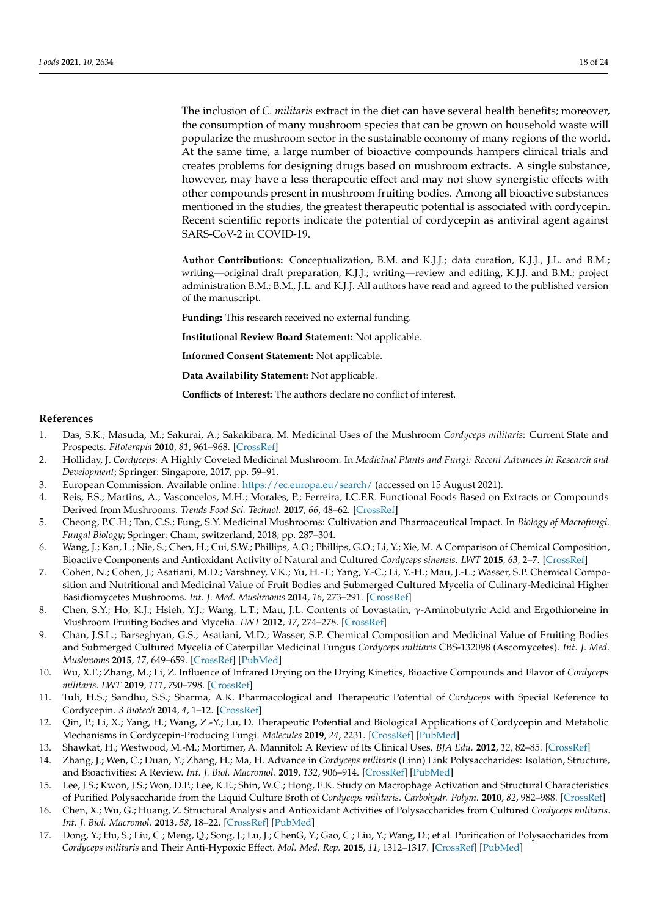The inclusion of *C. militaris* extract in the diet can have several health benefits; moreover, the consumption of many mushroom species that can be grown on household waste will popularize the mushroom sector in the sustainable economy of many regions of the world. At the same time, a large number of bioactive compounds hampers clinical trials and creates problems for designing drugs based on mushroom extracts. A single substance, however, may have a less therapeutic effect and may not show synergistic effects with other compounds present in mushroom fruiting bodies. Among all bioactive substances mentioned in the studies, the greatest therapeutic potential is associated with cordycepin. Recent scientific reports indicate the potential of cordycepin as antiviral agent against SARS-CoV-2 in COVID-19.

**Author Contributions:** Conceptualization, B.M. and K.J.J.; data curation, K.J.J., J.L. and B.M.; writing—original draft preparation, K.J.J.; writing—review and editing, K.J.J. and B.M.; project administration B.M.; B.M., J.L. and K.J.J. All authors have read and agreed to the published version of the manuscript.

**Funding:** This research received no external funding.

**Institutional Review Board Statement:** Not applicable.

**Informed Consent Statement:** Not applicable.

**Data Availability Statement:** Not applicable.

**Conflicts of Interest:** The authors declare no conflict of interest.

#### **References**

- <span id="page-17-0"></span>1. Das, S.K.; Masuda, M.; Sakurai, A.; Sakakibara, M. Medicinal Uses of the Mushroom *Cordyceps militaris*: Current State and Prospects. *Fitoterapia* **2010**, *81*, 961–968. [\[CrossRef\]](http://doi.org/10.1016/j.fitote.2010.07.010)
- <span id="page-17-1"></span>2. Holliday, J. *Cordyceps*: A Highly Coveted Medicinal Mushroom. In *Medicinal Plants and Fungi: Recent Advances in Research and Development*; Springer: Singapore, 2017; pp. 59–91.
- <span id="page-17-2"></span>3. European Commission. Available online: <https://ec.europa.eu/search/> (accessed on 15 August 2021).
- <span id="page-17-3"></span>4. Reis, F.S.; Martins, A.; Vasconcelos, M.H.; Morales, P.; Ferreira, I.C.F.R. Functional Foods Based on Extracts or Compounds Derived from Mushrooms. *Trends Food Sci. Technol.* **2017**, *66*, 48–62. [\[CrossRef\]](http://doi.org/10.1016/j.tifs.2017.05.010)
- <span id="page-17-4"></span>5. Cheong, P.C.H.; Tan, C.S.; Fung, S.Y. Medicinal Mushrooms: Cultivation and Pharmaceutical Impact. In *Biology of Macrofungi. Fungal Biology*; Springer: Cham, switzerland, 2018; pp. 287–304.
- <span id="page-17-5"></span>6. Wang, J.; Kan, L.; Nie, S.; Chen, H.; Cui, S.W.; Phillips, A.O.; Phillips, G.O.; Li, Y.; Xie, M. A Comparison of Chemical Composition, Bioactive Components and Antioxidant Activity of Natural and Cultured *Cordyceps sinensis*. *LWT* **2015**, *63*, 2–7. [\[CrossRef\]](http://doi.org/10.1016/j.lwt.2015.03.109)
- <span id="page-17-6"></span>7. Cohen, N.; Cohen, J.; Asatiani, M.D.; Varshney, V.K.; Yu, H.-T.; Yang, Y.-C.; Li, Y.-H.; Mau, J.-L.; Wasser, S.P. Chemical Composition and Nutritional and Medicinal Value of Fruit Bodies and Submerged Cultured Mycelia of Culinary-Medicinal Higher Basidiomycetes Mushrooms. *Int. J. Med. Mushrooms* **2014**, *16*, 273–291. [\[CrossRef\]](http://doi.org/10.1615/IntJMedMushr.v16.i3.80)
- <span id="page-17-7"></span>8. Chen, S.Y.; Ho, K.J.; Hsieh, Y.J.; Wang, L.T.; Mau, J.L. Contents of Lovastatin, γ-Aminobutyric Acid and Ergothioneine in Mushroom Fruiting Bodies and Mycelia. *LWT* **2012**, *47*, 274–278. [\[CrossRef\]](http://doi.org/10.1016/j.lwt.2012.01.019)
- <span id="page-17-8"></span>9. Chan, J.S.L.; Barseghyan, G.S.; Asatiani, M.D.; Wasser, S.P. Chemical Composition and Medicinal Value of Fruiting Bodies and Submerged Cultured Mycelia of Caterpillar Medicinal Fungus *Cordyceps militaris* CBS-132098 (Ascomycetes). *Int. J. Med. Mushrooms* **2015**, *17*, 649–659. [\[CrossRef\]](http://doi.org/10.1615/IntJMedMushrooms.v17.i7.50) [\[PubMed\]](http://www.ncbi.nlm.nih.gov/pubmed/26559699)
- <span id="page-17-9"></span>10. Wu, X.F.; Zhang, M.; Li, Z. Influence of Infrared Drying on the Drying Kinetics, Bioactive Compounds and Flavor of *Cordyceps militaris*. *LWT* **2019**, *111*, 790–798. [\[CrossRef\]](http://doi.org/10.1016/j.lwt.2019.05.108)
- <span id="page-17-10"></span>11. Tuli, H.S.; Sandhu, S.S.; Sharma, A.K. Pharmacological and Therapeutic Potential of *Cordyceps* with Special Reference to Cordycepin. *3 Biotech* **2014**, *4*, 1–12. [\[CrossRef\]](http://doi.org/10.1007/s13205-013-0121-9)
- <span id="page-17-11"></span>12. Qin, P.; Li, X.; Yang, H.; Wang, Z.-Y.; Lu, D. Therapeutic Potential and Biological Applications of Cordycepin and Metabolic Mechanisms in Cordycepin-Producing Fungi. *Molecules* **2019**, *24*, 2231. [\[CrossRef\]](http://doi.org/10.3390/molecules24122231) [\[PubMed\]](http://www.ncbi.nlm.nih.gov/pubmed/31207985)
- <span id="page-17-12"></span>13. Shawkat, H.; Westwood, M.-M.; Mortimer, A. Mannitol: A Review of Its Clinical Uses. *BJA Edu.* **2012**, *12*, 82–85. [\[CrossRef\]](http://doi.org/10.1093/bjaceaccp/mkr063)
- <span id="page-17-13"></span>14. Zhang, J.; Wen, C.; Duan, Y.; Zhang, H.; Ma, H. Advance in *Cordyceps militaris* (Linn) Link Polysaccharides: Isolation, Structure, and Bioactivities: A Review. *Int. J. Biol. Macromol.* **2019**, *132*, 906–914. [\[CrossRef\]](http://doi.org/10.1016/j.ijbiomac.2019.04.020) [\[PubMed\]](http://www.ncbi.nlm.nih.gov/pubmed/30954592)
- <span id="page-17-14"></span>15. Lee, J.S.; Kwon, J.S.; Won, D.P.; Lee, K.E.; Shin, W.C.; Hong, E.K. Study on Macrophage Activation and Structural Characteristics of Purified Polysaccharide from the Liquid Culture Broth of *Cordyceps militaris*. *Carbohydr. Polym.* **2010**, *82*, 982–988. [\[CrossRef\]](http://doi.org/10.1016/j.carbpol.2010.06.025)
- <span id="page-17-15"></span>16. Chen, X.; Wu, G.; Huang, Z. Structural Analysis and Antioxidant Activities of Polysaccharides from Cultured *Cordyceps militaris*. *Int. J. Biol. Macromol.* **2013**, *58*, 18–22. [\[CrossRef\]](http://doi.org/10.1016/j.ijbiomac.2013.03.041) [\[PubMed\]](http://www.ncbi.nlm.nih.gov/pubmed/23537797)
- <span id="page-17-16"></span>17. Dong, Y.; Hu, S.; Liu, C.; Meng, Q.; Song, J.; Lu, J.; ChenG, Y.; Gao, C.; Liu, Y.; Wang, D.; et al. Purification of Polysaccharides from *Cordyceps militaris* and Their Anti-Hypoxic Effect. *Mol. Med. Rep.* **2015**, *11*, 1312–1317. [\[CrossRef\]](http://doi.org/10.3892/mmr.2014.2786) [\[PubMed\]](http://www.ncbi.nlm.nih.gov/pubmed/25351532)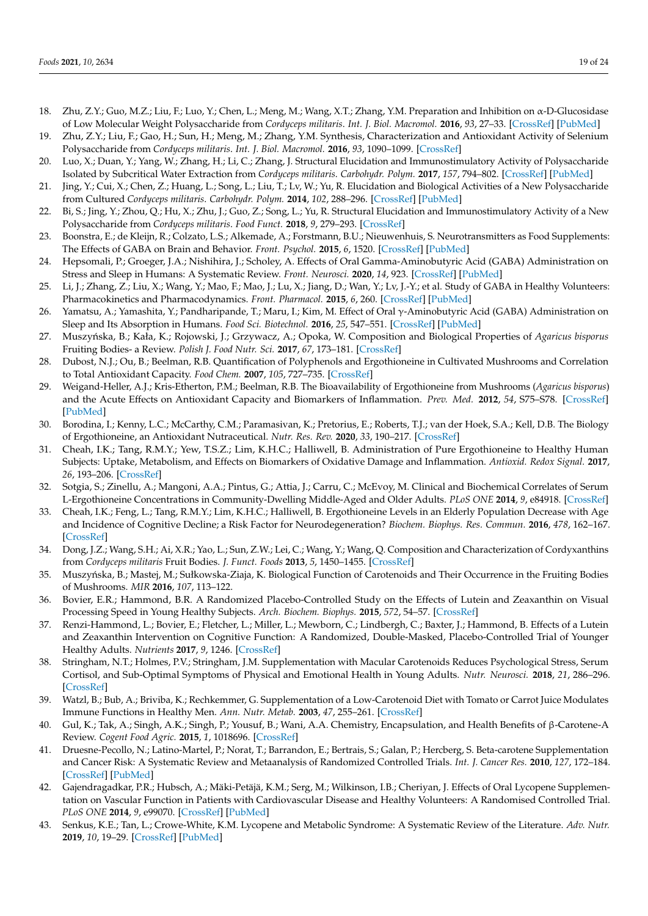- <span id="page-18-0"></span>18. Zhu, Z.Y.; Guo, M.Z.; Liu, F.; Luo, Y.; Chen, L.; Meng, M.; Wang, X.T.; Zhang, Y.M. Preparation and Inhibition on α-D-Glucosidase of Low Molecular Weight Polysaccharide from *Cordyceps militaris*. *Int. J. Biol. Macromol.* **2016**, *93*, 27–33. [\[CrossRef\]](http://doi.org/10.1016/j.ijbiomac.2016.08.058) [\[PubMed\]](http://www.ncbi.nlm.nih.gov/pubmed/27565291)
- <span id="page-18-1"></span>19. Zhu, Z.Y.; Liu, F.; Gao, H.; Sun, H.; Meng, M.; Zhang, Y.M. Synthesis, Characterization and Antioxidant Activity of Selenium Polysaccharide from *Cordyceps militaris*. *Int. J. Biol. Macromol.* **2016**, *93*, 1090–1099. [\[CrossRef\]](http://doi.org/10.1016/j.ijbiomac.2016.09.076)
- <span id="page-18-2"></span>20. Luo, X.; Duan, Y.; Yang, W.; Zhang, H.; Li, C.; Zhang, J. Structural Elucidation and Immunostimulatory Activity of Polysaccharide Isolated by Subcritical Water Extraction from *Cordyceps militaris*. *Carbohydr. Polym.* **2017**, *157*, 794–802. [\[CrossRef\]](http://doi.org/10.1016/j.carbpol.2016.10.066) [\[PubMed\]](http://www.ncbi.nlm.nih.gov/pubmed/27987993)
- <span id="page-18-3"></span>21. Jing, Y.; Cui, X.; Chen, Z.; Huang, L.; Song, L.; Liu, T.; Lv, W.; Yu, R. Elucidation and Biological Activities of a New Polysaccharide from Cultured *Cordyceps militaris*. *Carbohydr. Polym.* **2014**, *102*, 288–296. [\[CrossRef\]](http://doi.org/10.1016/j.carbpol.2013.11.061) [\[PubMed\]](http://www.ncbi.nlm.nih.gov/pubmed/24507284)
- <span id="page-18-4"></span>22. Bi, S.; Jing, Y.; Zhou, Q.; Hu, X.; Zhu, J.; Guo, Z.; Song, L.; Yu, R. Structural Elucidation and Immunostimulatory Activity of a New Polysaccharide from *Cordyceps militaris*. *Food Funct.* **2018**, *9*, 279–293. [\[CrossRef\]](http://doi.org/10.1039/C7FO01147D)
- <span id="page-18-5"></span>23. Boonstra, E.; de Kleijn, R.; Colzato, L.S.; Alkemade, A.; Forstmann, B.U.; Nieuwenhuis, S. Neurotransmitters as Food Supplements: The Effects of GABA on Brain and Behavior. *Front. Psychol.* **2015**, *6*, 1520. [\[CrossRef\]](http://doi.org/10.3389/fpsyg.2015.01520) [\[PubMed\]](http://www.ncbi.nlm.nih.gov/pubmed/26500584)
- <span id="page-18-6"></span>24. Hepsomali, P.; Groeger, J.A.; Nishihira, J.; Scholey, A. Effects of Oral Gamma-Aminobutyric Acid (GABA) Administration on Stress and Sleep in Humans: A Systematic Review. *Front. Neurosci.* **2020**, *14*, 923. [\[CrossRef\]](http://doi.org/10.3389/fnins.2020.00923) [\[PubMed\]](http://www.ncbi.nlm.nih.gov/pubmed/33041752)
- <span id="page-18-7"></span>25. Li, J.; Zhang, Z.; Liu, X.; Wang, Y.; Mao, F.; Mao, J.; Lu, X.; Jiang, D.; Wan, Y.; Lv, J.-Y.; et al. Study of GABA in Healthy Volunteers: Pharmacokinetics and Pharmacodynamics. *Front. Pharmacol.* **2015**, *6*, 260. [\[CrossRef\]](http://doi.org/10.3389/fphar.2015.00260) [\[PubMed\]](http://www.ncbi.nlm.nih.gov/pubmed/26617516)
- <span id="page-18-8"></span>26. Yamatsu, A.; Yamashita, Y.; Pandharipande, T.; Maru, I.; Kim, M. Effect of Oral γ-Aminobutyric Acid (GABA) Administration on Sleep and Its Absorption in Humans. *Food Sci. Biotechnol.* **2016**, *25*, 547–551. [\[CrossRef\]](http://doi.org/10.1007/s10068-016-0076-9) [\[PubMed\]](http://www.ncbi.nlm.nih.gov/pubmed/30263304)
- <span id="page-18-9"></span>27. Muszyńska, B.; Kała, K.; Rojowski, J.; Grzywacz, A.; Opoka, W. Composition and Biological Properties of *Agaricus bisporus* Fruiting Bodies- a Review. *Polish J. Food Nutr. Sci.* **2017**, *67*, 173–181. [\[CrossRef\]](http://doi.org/10.1515/pjfns-2016-0032)
- 28. Dubost, N.J.; Ou, B.; Beelman, R.B. Quantification of Polyphenols and Ergothioneine in Cultivated Mushrooms and Correlation to Total Antioxidant Capacity. *Food Chem.* **2007**, *105*, 727–735. [\[CrossRef\]](http://doi.org/10.1016/j.foodchem.2007.01.030)
- <span id="page-18-10"></span>29. Weigand-Heller, A.J.; Kris-Etherton, P.M.; Beelman, R.B. The Bioavailability of Ergothioneine from Mushrooms (*Agaricus bisporus*) and the Acute Effects on Antioxidant Capacity and Biomarkers of Inflammation. *Prev. Med.* **2012**, *54*, S75–S78. [\[CrossRef\]](http://doi.org/10.1016/j.ypmed.2011.12.028) [\[PubMed\]](http://www.ncbi.nlm.nih.gov/pubmed/22230474)
- <span id="page-18-11"></span>30. Borodina, I.; Kenny, L.C.; McCarthy, C.M.; Paramasivan, K.; Pretorius, E.; Roberts, T.J.; van der Hoek, S.A.; Kell, D.B. The Biology of Ergothioneine, an Antioxidant Nutraceutical. *Nutr. Res. Rev.* **2020**, *33*, 190–217. [\[CrossRef\]](http://doi.org/10.1017/S0954422419000301)
- <span id="page-18-12"></span>31. Cheah, I.K.; Tang, R.M.Y.; Yew, T.S.Z.; Lim, K.H.C.; Halliwell, B. Administration of Pure Ergothioneine to Healthy Human Subjects: Uptake, Metabolism, and Effects on Biomarkers of Oxidative Damage and Inflammation. *Antioxid. Redox Signal.* **2017**, *26*, 193–206. [\[CrossRef\]](http://doi.org/10.1089/ars.2016.6778)
- <span id="page-18-13"></span>32. Sotgia, S.; Zinellu, A.; Mangoni, A.A.; Pintus, G.; Attia, J.; Carru, C.; McEvoy, M. Clinical and Biochemical Correlates of Serum L-Ergothioneine Concentrations in Community-Dwelling Middle-Aged and Older Adults. *PLoS ONE* **2014**, *9*, e84918. [\[CrossRef\]](http://doi.org/10.1371/journal.pone.0084918)
- <span id="page-18-14"></span>33. Cheah, I.K.; Feng, L.; Tang, R.M.Y.; Lim, K.H.C.; Halliwell, B. Ergothioneine Levels in an Elderly Population Decrease with Age and Incidence of Cognitive Decline; a Risk Factor for Neurodegeneration? *Biochem. Biophys. Res. Commun.* **2016**, *478*, 162–167. [\[CrossRef\]](http://doi.org/10.1016/j.bbrc.2016.07.074)
- <span id="page-18-15"></span>34. Dong, J.Z.; Wang, S.H.; Ai, X.R.; Yao, L.; Sun, Z.W.; Lei, C.; Wang, Y.; Wang, Q. Composition and Characterization of Cordyxanthins from *Cordyceps militaris* Fruit Bodies. *J. Funct. Foods* **2013**, *5*, 1450–1455. [\[CrossRef\]](http://doi.org/10.1016/j.jff.2013.06.002)
- <span id="page-18-16"></span>35. Muszyńska, B.; Mastej, M.; Sułkowska-Ziaja, K. Biological Function of Carotenoids and Their Occurrence in the Fruiting Bodies of Mushrooms. *MIR* **2016**, *107*, 113–122.
- <span id="page-18-17"></span>36. Bovier, E.R.; Hammond, B.R. A Randomized Placebo-Controlled Study on the Effects of Lutein and Zeaxanthin on Visual Processing Speed in Young Healthy Subjects. *Arch. Biochem. Biophys.* **2015**, *572*, 54–57. [\[CrossRef\]](http://doi.org/10.1016/j.abb.2014.11.012)
- 37. Renzi-Hammond, L.; Bovier, E.; Fletcher, L.; Miller, L.; Mewborn, C.; Lindbergh, C.; Baxter, J.; Hammond, B. Effects of a Lutein and Zeaxanthin Intervention on Cognitive Function: A Randomized, Double-Masked, Placebo-Controlled Trial of Younger Healthy Adults. *Nutrients* **2017**, *9*, 1246. [\[CrossRef\]](http://doi.org/10.3390/nu9111246)
- <span id="page-18-18"></span>38. Stringham, N.T.; Holmes, P.V.; Stringham, J.M. Supplementation with Macular Carotenoids Reduces Psychological Stress, Serum Cortisol, and Sub-Optimal Symptoms of Physical and Emotional Health in Young Adults. *Nutr. Neurosci.* **2018**, *21*, 286–296. [\[CrossRef\]](http://doi.org/10.1080/1028415X.2017.1286445)
- <span id="page-18-19"></span>39. Watzl, B.; Bub, A.; Briviba, K.; Rechkemmer, G. Supplementation of a Low-Carotenoid Diet with Tomato or Carrot Juice Modulates Immune Functions in Healthy Men. *Ann. Nutr. Metab.* **2003**, *47*, 255–261. [\[CrossRef\]](http://doi.org/10.1159/000072397)
- <span id="page-18-20"></span>40. Gul, K.; Tak, A.; Singh, A.K.; Singh, P.; Yousuf, B.; Wani, A.A. Chemistry, Encapsulation, and Health Benefits of β-Carotene-A Review. *Cogent Food Agric.* **2015**, *1*, 1018696. [\[CrossRef\]](http://doi.org/10.1080/23311932.2015.1018696)
- <span id="page-18-21"></span>41. Druesne-Pecollo, N.; Latino-Martel, P.; Norat, T.; Barrandon, E.; Bertrais, S.; Galan, P.; Hercberg, S. Beta-carotene Supplementation and Cancer Risk: A Systematic Review and Metaanalysis of Randomized Controlled Trials. *Int. J. Cancer Res.* **2010**, *127*, 172–184. [\[CrossRef\]](http://doi.org/10.1002/ijc.25008) [\[PubMed\]](http://www.ncbi.nlm.nih.gov/pubmed/19876916)
- <span id="page-18-22"></span>42. Gajendragadkar, P.R.; Hubsch, A.; Mäki-Petäjä, K.M.; Serg, M.; Wilkinson, I.B.; Cheriyan, J. Effects of Oral Lycopene Supplementation on Vascular Function in Patients with Cardiovascular Disease and Healthy Volunteers: A Randomised Controlled Trial. *PLoS ONE* **2014**, *9*, e99070. [\[CrossRef\]](http://doi.org/10.1371/journal.pone.0099070) [\[PubMed\]](http://www.ncbi.nlm.nih.gov/pubmed/24911964)
- <span id="page-18-23"></span>43. Senkus, K.E.; Tan, L.; Crowe-White, K.M. Lycopene and Metabolic Syndrome: A Systematic Review of the Literature. *Adv. Nutr.* **2019**, *10*, 19–29. [\[CrossRef\]](http://doi.org/10.1093/advances/nmy069) [\[PubMed\]](http://www.ncbi.nlm.nih.gov/pubmed/30475939)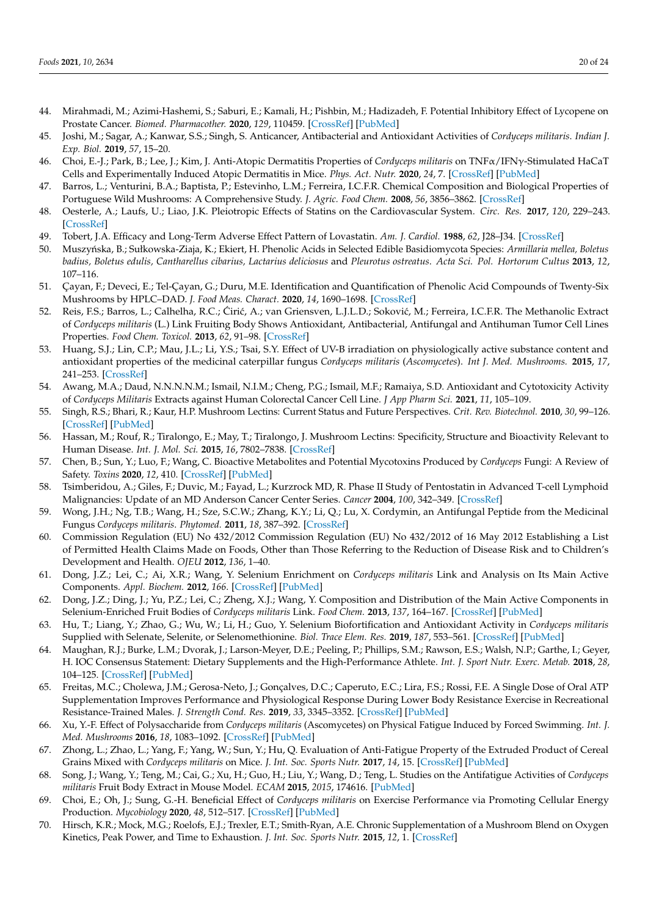- <span id="page-19-0"></span>44. Mirahmadi, M.; Azimi-Hashemi, S.; Saburi, E.; Kamali, H.; Pishbin, M.; Hadizadeh, F. Potential Inhibitory Effect of Lycopene on Prostate Cancer. *Biomed. Pharmacother.* **2020**, *129*, 110459. [\[CrossRef\]](http://doi.org/10.1016/j.biopha.2020.110459) [\[PubMed\]](http://www.ncbi.nlm.nih.gov/pubmed/32768949)
- <span id="page-19-1"></span>45. Joshi, M.; Sagar, A.; Kanwar, S.S.; Singh, S. Anticancer, Antibacterial and Antioxidant Activities of *Cordyceps militaris*. *Indian J. Exp. Biol.* **2019**, *57*, 15–20.
- <span id="page-19-2"></span>46. Choi, E.-J.; Park, B.; Lee, J.; Kim, J. Anti-Atopic Dermatitis Properties of *Cordyceps militaris* on TNFα/IFNγ-Stimulated HaCaT Cells and Experimentally Induced Atopic Dermatitis in Mice. *Phys. Act. Nutr.* **2020**, *24*, 7. [\[CrossRef\]](http://doi.org/10.20463/pan.2020.0022) [\[PubMed\]](http://www.ncbi.nlm.nih.gov/pubmed/33539689)
- <span id="page-19-3"></span>47. Barros, L.; Venturini, B.A.; Baptista, P.; Estevinho, L.M.; Ferreira, I.C.F.R. Chemical Composition and Biological Properties of Portuguese Wild Mushrooms: A Comprehensive Study. *J. Agric. Food Chem.* **2008**, *56*, 3856–3862. [\[CrossRef\]](http://doi.org/10.1021/jf8003114)
- <span id="page-19-4"></span>48. Oesterle, A.; Laufs, U.; Liao, J.K. Pleiotropic Effects of Statins on the Cardiovascular System. *Circ. Res.* **2017**, *120*, 229–243. [\[CrossRef\]](http://doi.org/10.1161/CIRCRESAHA.116.308537)
- <span id="page-19-5"></span>49. Tobert, J.A. Efficacy and Long-Term Adverse Effect Pattern of Lovastatin. *Am. J. Cardiol.* **1988**, *62*, J28–J34. [\[CrossRef\]](http://doi.org/10.1016/0002-9149(88)90004-5)
- <span id="page-19-6"></span>50. Muszy ´nska, B.; Sułkowska-Ziaja, K.; Ekiert, H. Phenolic Acids in Selected Edible Basidiomycota Species: *Armillaria mellea, Boletus badius, Boletus edulis, Cantharellus cibarius, Lactarius deliciosus* and *Pleurotus ostreatus*. *Acta Sci. Pol. Hortorum Cultus* **2013**, *12*, 107–116.
- <span id="page-19-7"></span>51. Çayan, F.; Deveci, E.; Tel-Çayan, G.; Duru, M.E. Identification and Quantification of Phenolic Acid Compounds of Twenty-Six Mushrooms by HPLC–DAD. *J. Food Meas. Charact.* **2020**, *14*, 1690–1698. [\[CrossRef\]](http://doi.org/10.1007/s11694-020-00417-0)
- <span id="page-19-8"></span>52. Reis, F.S.; Barros, L.; Calhelha, R.C.; Ćirić, A.; van Griensven, L.J.L.D.; Soković, M.; Ferreira, I.C.F.R. The Methanolic Extract of *Cordyceps militaris* (L.) Link Fruiting Body Shows Antioxidant, Antibacterial, Antifungal and Antihuman Tumor Cell Lines Properties. *Food Chem. Toxicol.* **2013**, *62*, 91–98. [\[CrossRef\]](http://doi.org/10.1016/j.fct.2013.08.033)
- <span id="page-19-9"></span>53. Huang, S.J.; Lin, C.P.; Mau, J.L.; Li, Y.S.; Tsai, S.Y. Effect of UV-B irradiation on physiologically active substance content and antioxidant properties of the medicinal caterpillar fungus *Cordyceps militaris* (*Ascomycetes*). *Int J. Med. Mushrooms.* **2015**, *17*, 241–253. [\[CrossRef\]](http://doi.org/10.1615/IntJMedMushrooms.v17.i3.40)
- <span id="page-19-10"></span>54. Awang, M.A.; Daud, N.N.N.N.M.; Ismail, N.I.M.; Cheng, P.G.; Ismail, M.F.; Ramaiya, S.D. Antioxidant and Cytotoxicity Activity of *Cordyceps Militaris* Extracts against Human Colorectal Cancer Cell Line. *J App Pharm Sci.* **2021**, *11*, 105–109.
- <span id="page-19-11"></span>55. Singh, R.S.; Bhari, R.; Kaur, H.P. Mushroom Lectins: Current Status and Future Perspectives. *Crit. Rev. Biotechnol.* **2010**, *30*, 99–126. [\[CrossRef\]](http://doi.org/10.3109/07388550903365048) [\[PubMed\]](http://www.ncbi.nlm.nih.gov/pubmed/20105049)
- <span id="page-19-12"></span>56. Hassan, M.; Rouf, R.; Tiralongo, E.; May, T.; Tiralongo, J. Mushroom Lectins: Specificity, Structure and Bioactivity Relevant to Human Disease. *Int. J. Mol. Sci.* **2015**, *16*, 7802–7838. [\[CrossRef\]](http://doi.org/10.3390/ijms16047802)
- <span id="page-19-13"></span>57. Chen, B.; Sun, Y.; Luo, F.; Wang, C. Bioactive Metabolites and Potential Mycotoxins Produced by *Cordyceps* Fungi: A Review of Safety. *Toxins* **2020**, *12*, 410. [\[CrossRef\]](http://doi.org/10.3390/toxins12060410) [\[PubMed\]](http://www.ncbi.nlm.nih.gov/pubmed/32575649)
- <span id="page-19-14"></span>58. Tsimberidou, A.; Giles, F.; Duvic, M.; Fayad, L.; Kurzrock MD, R. Phase II Study of Pentostatin in Advanced T-cell Lymphoid Malignancies: Update of an MD Anderson Cancer Center Series. *Cancer* **2004**, *100*, 342–349. [\[CrossRef\]](http://doi.org/10.1002/cncr.11899)
- <span id="page-19-15"></span>59. Wong, J.H.; Ng, T.B.; Wang, H.; Sze, S.C.W.; Zhang, K.Y.; Li, Q.; Lu, X. Cordymin, an Antifungal Peptide from the Medicinal Fungus *Cordyceps militaris*. *Phytomed.* **2011**, *18*, 387–392. [\[CrossRef\]](http://doi.org/10.1016/j.phymed.2010.07.010)
- <span id="page-19-16"></span>60. Commission Regulation (EU) No 432/2012 Commission Regulation (EU) No 432/2012 of 16 May 2012 Establishing a List of Permitted Health Claims Made on Foods, Other than Those Referring to the Reduction of Disease Risk and to Children's Development and Health. *OJEU* **2012**, *136*, 1–40.
- <span id="page-19-17"></span>61. Dong, J.Z.; Lei, C.; Ai, X.R.; Wang, Y. Selenium Enrichment on *Cordyceps militaris* Link and Analysis on Its Main Active Components. *Appl. Biochem.* **2012**, *166*. [\[CrossRef\]](http://doi.org/10.1007/s12010-011-9506-6) [\[PubMed\]](http://www.ncbi.nlm.nih.gov/pubmed/22246726)
- <span id="page-19-18"></span>62. Dong, J.Z.; Ding, J.; Yu, P.Z.; Lei, C.; Zheng, X.J.; Wang, Y. Composition and Distribution of the Main Active Components in Selenium-Enriched Fruit Bodies of *Cordyceps militaris* Link. *Food Chem.* **2013**, *137*, 164–167. [\[CrossRef\]](http://doi.org/10.1016/j.foodchem.2012.10.021) [\[PubMed\]](http://www.ncbi.nlm.nih.gov/pubmed/23200005)
- <span id="page-19-19"></span>63. Hu, T.; Liang, Y.; Zhao, G.; Wu, W.; Li, H.; Guo, Y. Selenium Biofortification and Antioxidant Activity in *Cordyceps militaris* Supplied with Selenate, Selenite, or Selenomethionine. *Biol. Trace Elem. Res.* **2019**, *187*, 553–561. [\[CrossRef\]](http://doi.org/10.1007/s12011-018-1386-y) [\[PubMed\]](http://www.ncbi.nlm.nih.gov/pubmed/29855849)
- <span id="page-19-20"></span>64. Maughan, R.J.; Burke, L.M.; Dvorak, J.; Larson-Meyer, D.E.; Peeling, P.; Phillips, S.M.; Rawson, E.S.; Walsh, N.P.; Garthe, I.; Geyer, H. IOC Consensus Statement: Dietary Supplements and the High-Performance Athlete. *Int. J. Sport Nutr. Exerc. Metab.* **2018**, *28*, 104–125. [\[CrossRef\]](http://doi.org/10.1123/ijsnem.2018-0020) [\[PubMed\]](http://www.ncbi.nlm.nih.gov/pubmed/29589768)
- <span id="page-19-21"></span>65. Freitas, M.C.; Cholewa, J.M.; Gerosa-Neto, J.; Gonçalves, D.C.; Caperuto, E.C.; Lira, F.S.; Rossi, F.E. A Single Dose of Oral ATP Supplementation Improves Performance and Physiological Response During Lower Body Resistance Exercise in Recreational Resistance-Trained Males. *J. Strength Cond. Res.* **2019**, *33*, 3345–3352. [\[CrossRef\]](http://doi.org/10.1519/JSC.0000000000002198) [\[PubMed\]](http://www.ncbi.nlm.nih.gov/pubmed/29045315)
- <span id="page-19-22"></span>66. Xu, Y.-F. Effect of Polysaccharide from *Cordyceps militaris* (Ascomycetes) on Physical Fatigue Induced by Forced Swimming. *Int. J. Med. Mushrooms* **2016**, *18*, 1083–1092. [\[CrossRef\]](http://doi.org/10.1615/IntJMedMushrooms.v18.i12.30) [\[PubMed\]](http://www.ncbi.nlm.nih.gov/pubmed/28094746)
- 67. Zhong, L.; Zhao, L.; Yang, F.; Yang, W.; Sun, Y.; Hu, Q. Evaluation of Anti-Fatigue Property of the Extruded Product of Cereal Grains Mixed with *Cordyceps militaris* on Mice. *J. Int. Soc. Sports Nutr.* **2017**, *14*, 15. [\[CrossRef\]](http://doi.org/10.1186/s12970-017-0171-1) [\[PubMed\]](http://www.ncbi.nlm.nih.gov/pubmed/28588427)
- <span id="page-19-23"></span>68. Song, J.; Wang, Y.; Teng, M.; Cai, G.; Xu, H.; Guo, H.; Liu, Y.; Wang, D.; Teng, L. Studies on the Antifatigue Activities of *Cordyceps militaris* Fruit Body Extract in Mouse Model. *ECAM* **2015**, *2015*, 174616. [\[PubMed\]](http://www.ncbi.nlm.nih.gov/pubmed/26351509)
- <span id="page-19-24"></span>69. Choi, E.; Oh, J.; Sung, G.-H. Beneficial Effect of *Cordyceps militaris* on Exercise Performance via Promoting Cellular Energy Production. *Mycobiology* **2020**, *48*, 512–517. [\[CrossRef\]](http://doi.org/10.1080/12298093.2020.1831135) [\[PubMed\]](http://www.ncbi.nlm.nih.gov/pubmed/33312018)
- <span id="page-19-25"></span>70. Hirsch, K.R.; Mock, M.G.; Roelofs, E.J.; Trexler, E.T.; Smith-Ryan, A.E. Chronic Supplementation of a Mushroom Blend on Oxygen Kinetics, Peak Power, and Time to Exhaustion. *J. Int. Soc. Sports Nutr.* **2015**, *12*, 1. [\[CrossRef\]](http://doi.org/10.1186/1550-2783-12-S1-P45)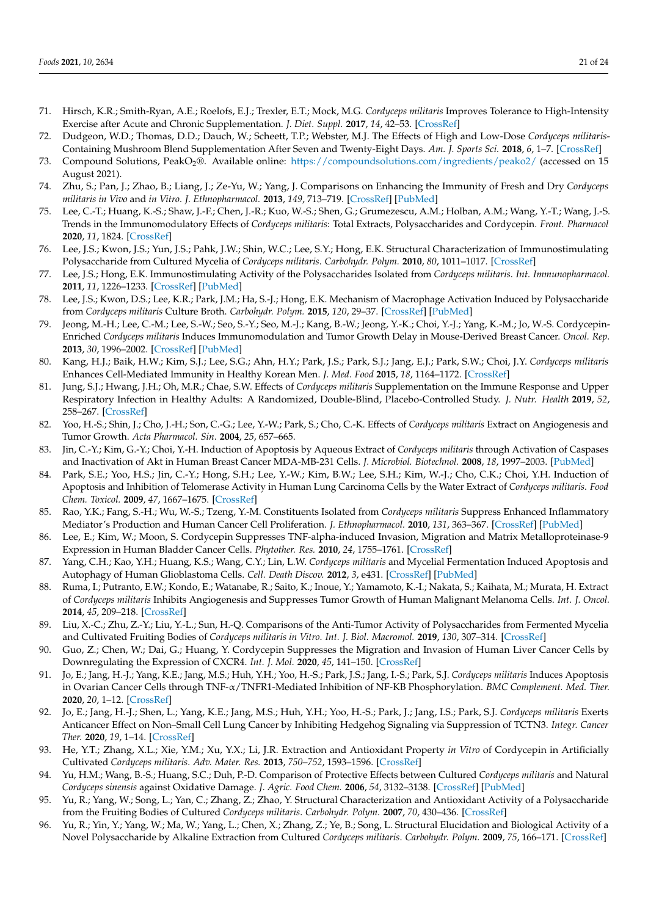- <span id="page-20-0"></span>71. Hirsch, K.R.; Smith-Ryan, A.E.; Roelofs, E.J.; Trexler, E.T.; Mock, M.G. *Cordyceps militaris* Improves Tolerance to High-Intensity Exercise after Acute and Chronic Supplementation. *J. Diet. Suppl.* **2017**, *14*, 42–53. [\[CrossRef\]](http://doi.org/10.1080/19390211.2016.1203386)
- <span id="page-20-1"></span>72. Dudgeon, W.D.; Thomas, D.D.; Dauch, W.; Scheett, T.P.; Webster, M.J. The Effects of High and Low-Dose *Cordyceps militaris*-Containing Mushroom Blend Supplementation After Seven and Twenty-Eight Days. *Am. J. Sports Sci.* **2018**, *6*, 1–7. [\[CrossRef\]](http://doi.org/10.11648/j.ajss.20180601.11)
- <span id="page-20-2"></span>73. Compound Solutions, PeakO<sub>2</sub>®. Available online: <https://compoundsolutions.com/ingredients/peako2/> (accessed on 15 August 2021).
- <span id="page-20-3"></span>74. Zhu, S.; Pan, J.; Zhao, B.; Liang, J.; Ze-Yu, W.; Yang, J. Comparisons on Enhancing the Immunity of Fresh and Dry *Cordyceps militaris in Vivo* and *in Vitro*. *J. Ethnopharmacol.* **2013**, *149*, 713–719. [\[CrossRef\]](http://doi.org/10.1016/j.jep.2013.07.037) [\[PubMed\]](http://www.ncbi.nlm.nih.gov/pubmed/23916792)
- <span id="page-20-4"></span>75. Lee, C.-T.; Huang, K.-S.; Shaw, J.-F.; Chen, J.-R.; Kuo, W.-S.; Shen, G.; Grumezescu, A.M.; Holban, A.M.; Wang, Y.-T.; Wang, J.-S. Trends in the Immunomodulatory Effects of *Cordyceps militaris*: Total Extracts, Polysaccharides and Cordycepin. *Front. Pharmacol* **2020**, *11*, 1824. [\[CrossRef\]](http://doi.org/10.3389/fphar.2020.575704)
- <span id="page-20-5"></span>76. Lee, J.S.; Kwon, J.S.; Yun, J.S.; Pahk, J.W.; Shin, W.C.; Lee, S.Y.; Hong, E.K. Structural Characterization of Immunostimulating Polysaccharide from Cultured Mycelia of *Cordyceps militaris*. *Carbohydr. Polym.* **2010**, *80*, 1011–1017. [\[CrossRef\]](http://doi.org/10.1016/j.carbpol.2010.01.017)
- <span id="page-20-6"></span>77. Lee, J.S.; Hong, E.K. Immunostimulating Activity of the Polysaccharides Isolated from *Cordyceps militaris*. *Int. Immunopharmacol.* **2011**, *11*, 1226–1233. [\[CrossRef\]](http://doi.org/10.1016/j.intimp.2011.04.001) [\[PubMed\]](http://www.ncbi.nlm.nih.gov/pubmed/21497206)
- <span id="page-20-7"></span>78. Lee, J.S.; Kwon, D.S.; Lee, K.R.; Park, J.M.; Ha, S.-J.; Hong, E.K. Mechanism of Macrophage Activation Induced by Polysaccharide from *Cordyceps militaris* Culture Broth. *Carbohydr. Polym.* **2015**, *120*, 29–37. [\[CrossRef\]](http://doi.org/10.1016/j.carbpol.2014.11.059) [\[PubMed\]](http://www.ncbi.nlm.nih.gov/pubmed/25662684)
- <span id="page-20-8"></span>79. Jeong, M.-H.; Lee, C.-M.; Lee, S.-W.; Seo, S.-Y.; Seo, M.-J.; Kang, B.-W.; Jeong, Y.-K.; Choi, Y.-J.; Yang, K.-M.; Jo, W.-S. Cordycepin-Enriched *Cordyceps militaris* Induces Immunomodulation and Tumor Growth Delay in Mouse-Derived Breast Cancer. *Oncol. Rep.* **2013**, *30*, 1996–2002. [\[CrossRef\]](http://doi.org/10.3892/or.2013.2660) [\[PubMed\]](http://www.ncbi.nlm.nih.gov/pubmed/23921598)
- <span id="page-20-9"></span>80. Kang, H.J.; Baik, H.W.; Kim, S.J.; Lee, S.G.; Ahn, H.Y.; Park, J.S.; Park, S.J.; Jang, E.J.; Park, S.W.; Choi, J.Y. *Cordyceps militaris* Enhances Cell-Mediated Immunity in Healthy Korean Men. *J. Med. Food* **2015**, *18*, 1164–1172. [\[CrossRef\]](http://doi.org/10.1089/jmf.2014.3350)
- <span id="page-20-10"></span>81. Jung, S.J.; Hwang, J.H.; Oh, M.R.; Chae, S.W. Effects of *Cordyceps militaris* Supplementation on the Immune Response and Upper Respiratory Infection in Healthy Adults: A Randomized, Double-Blind, Placebo-Controlled Study. *J. Nutr. Health* **2019**, *52*, 258–267. [\[CrossRef\]](http://doi.org/10.4163/jnh.2019.52.3.258)
- <span id="page-20-11"></span>82. Yoo, H.-S.; Shin, J.; Cho, J.-H.; Son, C.-G.; Lee, Y.-W.; Park, S.; Cho, C.-K. Effects of *Cordyceps militaris* Extract on Angiogenesis and Tumor Growth. *Acta Pharmacol. Sin.* **2004**, *25*, 657–665.
- <span id="page-20-12"></span>83. Jin, C.-Y.; Kim, G.-Y.; Choi, Y.-H. Induction of Apoptosis by Aqueous Extract of *Cordyceps militaris* through Activation of Caspases and Inactivation of Akt in Human Breast Cancer MDA-MB-231 Cells. *J. Microbiol. Biotechnol.* **2008**, *18*, 1997–2003. [\[PubMed\]](http://www.ncbi.nlm.nih.gov/pubmed/19131705)
- <span id="page-20-13"></span>84. Park, S.E.; Yoo, H.S.; Jin, C.-Y.; Hong, S.H.; Lee, Y.-W.; Kim, B.W.; Lee, S.H.; Kim, W.-J.; Cho, C.K.; Choi, Y.H. Induction of Apoptosis and Inhibition of Telomerase Activity in Human Lung Carcinoma Cells by the Water Extract of *Cordyceps militaris*. *Food Chem. Toxicol.* **2009**, *47*, 1667–1675. [\[CrossRef\]](http://doi.org/10.1016/j.fct.2009.04.014)
- <span id="page-20-14"></span>85. Rao, Y.K.; Fang, S.-H.; Wu, W.-S.; Tzeng, Y.-M. Constituents Isolated from *Cordyceps militaris* Suppress Enhanced Inflammatory Mediator's Production and Human Cancer Cell Proliferation. *J. Ethnopharmacol.* **2010**, *131*, 363–367. [\[CrossRef\]](http://doi.org/10.1016/j.jep.2010.07.020) [\[PubMed\]](http://www.ncbi.nlm.nih.gov/pubmed/20633630)
- <span id="page-20-15"></span>86. Lee, E.; Kim, W.; Moon, S. Cordycepin Suppresses TNF-alpha-induced Invasion, Migration and Matrix Metalloproteinase-9 Expression in Human Bladder Cancer Cells. *Phytother. Res.* **2010**, *24*, 1755–1761. [\[CrossRef\]](http://doi.org/10.1002/ptr.3132)
- <span id="page-20-16"></span>87. Yang, C.H.; Kao, Y.H.; Huang, K.S.; Wang, C.Y.; Lin, L.W. *Cordyceps militaris* and Mycelial Fermentation Induced Apoptosis and Autophagy of Human Glioblastoma Cells. *Cell. Death Discov.* **2012**, *3*, e431. [\[CrossRef\]](http://doi.org/10.1038/cddis.2012.172) [\[PubMed\]](http://www.ncbi.nlm.nih.gov/pubmed/23190603)
- <span id="page-20-17"></span>88. Ruma, I.; Putranto, E.W.; Kondo, E.; Watanabe, R.; Saito, K.; Inoue, Y.; Yamamoto, K.-I.; Nakata, S.; Kaihata, M.; Murata, H. Extract of *Cordyceps militaris* Inhibits Angiogenesis and Suppresses Tumor Growth of Human Malignant Melanoma Cells. *Int. J. Oncol.* **2014**, *45*, 209–218. [\[CrossRef\]](http://doi.org/10.3892/ijo.2014.2397)
- <span id="page-20-18"></span>89. Liu, X.-C.; Zhu, Z.-Y.; Liu, Y.-L.; Sun, H.-Q. Comparisons of the Anti-Tumor Activity of Polysaccharides from Fermented Mycelia and Cultivated Fruiting Bodies of *Cordyceps militaris in Vitro*. *Int. J. Biol. Macromol.* **2019**, *130*, 307–314. [\[CrossRef\]](http://doi.org/10.1016/j.ijbiomac.2019.02.155)
- <span id="page-20-19"></span>90. Guo, Z.; Chen, W.; Dai, G.; Huang, Y. Cordycepin Suppresses the Migration and Invasion of Human Liver Cancer Cells by Downregulating the Expression of CXCR4. *Int. J. Mol.* **2020**, *45*, 141–150. [\[CrossRef\]](http://doi.org/10.3892/ijmm.2019.4391)
- <span id="page-20-20"></span>91. Jo, E.; Jang, H.-J.; Yang, K.E.; Jang, M.S.; Huh, Y.H.; Yoo, H.-S.; Park, J.S.; Jang, I.-S.; Park, S.J. *Cordyceps militaris* Induces Apoptosis in Ovarian Cancer Cells through TNF-α/TNFR1-Mediated Inhibition of NF-KB Phosphorylation. *BMC Complement. Med. Ther.* **2020**, *20*, 1–12. [\[CrossRef\]](http://doi.org/10.1186/s12906-019-2780-5)
- <span id="page-20-21"></span>92. Jo, E.; Jang, H.-J.; Shen, L.; Yang, K.E.; Jang, M.S.; Huh, Y.H.; Yoo, H.-S.; Park, J.; Jang, I.S.; Park, S.J. *Cordyceps militaris* Exerts Anticancer Effect on Non–Small Cell Lung Cancer by Inhibiting Hedgehog Signaling via Suppression of TCTN3. *Integr. Cancer Ther.* **2020**, *19*, 1–14. [\[CrossRef\]](http://doi.org/10.1177/1534735420923756)
- <span id="page-20-22"></span>93. He, Y.T.; Zhang, X.L.; Xie, Y.M.; Xu, Y.X.; Li, J.R. Extraction and Antioxidant Property *in Vitro* of Cordycepin in Artificially Cultivated *Cordyceps militaris*. *Adv. Mater. Res.* **2013**, *750–752*, 1593–1596. [\[CrossRef\]](http://doi.org/10.4028/www.scientific.net/AMR.750-752.1593)
- <span id="page-20-23"></span>94. Yu, H.M.; Wang, B.-S.; Huang, S.C.; Duh, P.-D. Comparison of Protective Effects between Cultured *Cordyceps militaris* and Natural *Cordyceps sinensis* against Oxidative Damage. *J. Agric. Food Chem.* **2006**, *54*, 3132–3138. [\[CrossRef\]](http://doi.org/10.1021/jf053111w) [\[PubMed\]](http://www.ncbi.nlm.nih.gov/pubmed/16608242)
- <span id="page-20-24"></span>95. Yu, R.; Yang, W.; Song, L.; Yan, C.; Zhang, Z.; Zhao, Y. Structural Characterization and Antioxidant Activity of a Polysaccharide from the Fruiting Bodies of Cultured *Cordyceps militaris*. *Carbohydr. Polym.* **2007**, *70*, 430–436. [\[CrossRef\]](http://doi.org/10.1016/j.carbpol.2007.05.005)
- <span id="page-20-25"></span>96. Yu, R.; Yin, Y.; Yang, W.; Ma, W.; Yang, L.; Chen, X.; Zhang, Z.; Ye, B.; Song, L. Structural Elucidation and Biological Activity of a Novel Polysaccharide by Alkaline Extraction from Cultured *Cordyceps militaris*. *Carbohydr. Polym.* **2009**, *75*, 166–171. [\[CrossRef\]](http://doi.org/10.1016/j.carbpol.2008.07.023)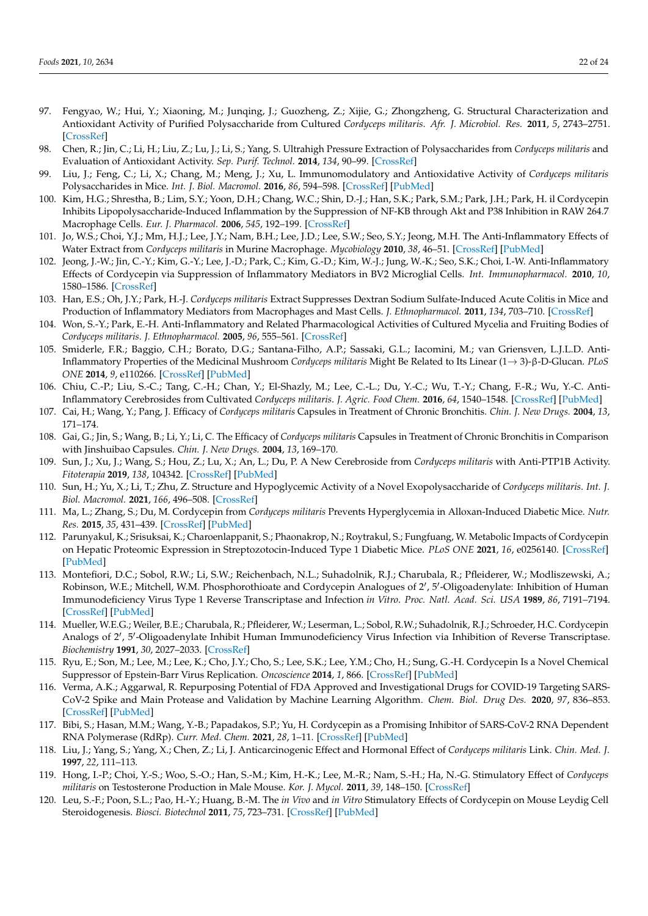- <span id="page-21-0"></span>97. Fengyao, W.; Hui, Y.; Xiaoning, M.; Junqing, J.; Guozheng, Z.; Xijie, G.; Zhongzheng, G. Structural Characterization and Antioxidant Activity of Purified Polysaccharide from Cultured *Cordyceps militaris*. *Afr. J. Microbiol. Res.* **2011**, *5*, 2743–2751. [\[CrossRef\]](http://doi.org/10.5897/AJMR11.548)
- <span id="page-21-1"></span>98. Chen, R.; Jin, C.; Li, H.; Liu, Z.; Lu, J.; Li, S.; Yang, S. Ultrahigh Pressure Extraction of Polysaccharides from *Cordyceps militaris* and Evaluation of Antioxidant Activity. *Sep. Purif. Technol.* **2014**, *134*, 90–99. [\[CrossRef\]](http://doi.org/10.1016/j.seppur.2014.07.017)
- <span id="page-21-2"></span>99. Liu, J.; Feng, C.; Li, X.; Chang, M.; Meng, J.; Xu, L. Immunomodulatory and Antioxidative Activity of *Cordyceps militaris* Polysaccharides in Mice. *Int. J. Biol. Macromol.* **2016**, *86*, 594–598. [\[CrossRef\]](http://doi.org/10.1016/j.ijbiomac.2016.02.009) [\[PubMed\]](http://www.ncbi.nlm.nih.gov/pubmed/26853825)
- <span id="page-21-3"></span>100. Kim, H.G.; Shrestha, B.; Lim, S.Y.; Yoon, D.H.; Chang, W.C.; Shin, D.-J.; Han, S.K.; Park, S.M.; Park, J.H.; Park, H. il Cordycepin Inhibits Lipopolysaccharide-Induced Inflammation by the Suppression of NF-KB through Akt and P38 Inhibition in RAW 264.7 Macrophage Cells. *Eur. J. Pharmacol.* **2006**, *545*, 192–199. [\[CrossRef\]](http://doi.org/10.1016/j.ejphar.2006.06.047)
- <span id="page-21-4"></span>101. Jo, W.S.; Choi, Y.J.; Mm, H.J.; Lee, J.Y.; Nam, B.H.; Lee, J.D.; Lee, S.W.; Seo, S.Y.; Jeong, M.H. The Anti-Inflammatory Effects of Water Extract from *Cordyceps militaris* in Murine Macrophage. *Mycobiology* **2010**, *38*, 46–51. [\[CrossRef\]](http://doi.org/10.4489/MYCO.2010.38.1.046) [\[PubMed\]](http://www.ncbi.nlm.nih.gov/pubmed/23956624)
- <span id="page-21-5"></span>102. Jeong, J.-W.; Jin, C.-Y.; Kim, G.-Y.; Lee, J.-D.; Park, C.; Kim, G.-D.; Kim, W.-J.; Jung, W.-K.; Seo, S.K.; Choi, I.-W. Anti-Inflammatory Effects of Cordycepin via Suppression of Inflammatory Mediators in BV2 Microglial Cells. *Int. Immunopharmacol.* **2010**, *10*, 1580–1586. [\[CrossRef\]](http://doi.org/10.1016/j.intimp.2010.09.011)
- <span id="page-21-6"></span>103. Han, E.S.; Oh, J.Y.; Park, H.-J. *Cordyceps militaris* Extract Suppresses Dextran Sodium Sulfate-Induced Acute Colitis in Mice and Production of Inflammatory Mediators from Macrophages and Mast Cells. *J. Ethnopharmacol.* **2011**, *134*, 703–710. [\[CrossRef\]](http://doi.org/10.1016/j.jep.2011.01.022)
- <span id="page-21-7"></span>104. Won, S.-Y.; Park, E.-H. Anti-Inflammatory and Related Pharmacological Activities of Cultured Mycelia and Fruiting Bodies of *Cordyceps militaris*. *J. Ethnopharmacol.* **2005**, *96*, 555–561. [\[CrossRef\]](http://doi.org/10.1016/j.jep.2004.10.009)
- <span id="page-21-8"></span>105. Smiderle, F.R.; Baggio, C.H.; Borato, D.G.; Santana-Filho, A.P.; Sassaki, G.L.; Iacomini, M.; van Griensven, L.J.L.D. Anti-Inflammatory Properties of the Medicinal Mushroom *Cordyceps militaris* Might Be Related to Its Linear (1→ 3)-β-D-Glucan. *PLoS ONE* **2014**, *9*, e110266. [\[CrossRef\]](http://doi.org/10.1371/journal.pone.0110266) [\[PubMed\]](http://www.ncbi.nlm.nih.gov/pubmed/25330371)
- <span id="page-21-9"></span>106. Chiu, C.-P.; Liu, S.-C.; Tang, C.-H.; Chan, Y.; El-Shazly, M.; Lee, C.-L.; Du, Y.-C.; Wu, T.-Y.; Chang, F.-R.; Wu, Y.-C. Anti-Inflammatory Cerebrosides from Cultivated *Cordyceps militaris*. *J. Agric. Food Chem.* **2016**, *64*, 1540–1548. [\[CrossRef\]](http://doi.org/10.1021/acs.jafc.5b05931) [\[PubMed\]](http://www.ncbi.nlm.nih.gov/pubmed/26853111)
- <span id="page-21-10"></span>107. Cai, H.; Wang, Y.; Pang, J. Efficacy of *Cordyceps militaris* Capsules in Treatment of Chronic Bronchitis. *Chin. J. New Drugs.* **2004**, *13*, 171–174.
- <span id="page-21-11"></span>108. Gai, G.; Jin, S.; Wang, B.; Li, Y.; Li, C. The Efficacy of *Cordyceps militaris* Capsules in Treatment of Chronic Bronchitis in Comparison with Jinshuibao Capsules. *Chin. J. New Drugs.* **2004**, *13*, 169–170.
- <span id="page-21-12"></span>109. Sun, J.; Xu, J.; Wang, S.; Hou, Z.; Lu, X.; An, L.; Du, P. A New Cerebroside from *Cordyceps militaris* with Anti-PTP1B Activity. *Fitoterapia* **2019**, *138*, 104342. [\[CrossRef\]](http://doi.org/10.1016/j.fitote.2019.104342) [\[PubMed\]](http://www.ncbi.nlm.nih.gov/pubmed/31479703)
- <span id="page-21-13"></span>110. Sun, H.; Yu, X.; Li, T.; Zhu, Z. Structure and Hypoglycemic Activity of a Novel Exopolysaccharide of *Cordyceps militaris*. *Int. J. Biol. Macromol.* **2021**, *166*, 496–508. [\[CrossRef\]](http://doi.org/10.1016/j.ijbiomac.2020.10.207)
- <span id="page-21-14"></span>111. Ma, L.; Zhang, S.; Du, M. Cordycepin from *Cordyceps militaris* Prevents Hyperglycemia in Alloxan-Induced Diabetic Mice. *Nutr. Res.* **2015**, *35*, 431–439. [\[CrossRef\]](http://doi.org/10.1016/j.nutres.2015.04.011) [\[PubMed\]](http://www.ncbi.nlm.nih.gov/pubmed/25940982)
- <span id="page-21-15"></span>112. Parunyakul, K.; Srisuksai, K.; Charoenlappanit, S.; Phaonakrop, N.; Roytrakul, S.; Fungfuang, W. Metabolic Impacts of Cordycepin on Hepatic Proteomic Expression in Streptozotocin-Induced Type 1 Diabetic Mice. *PLoS ONE* **2021**, *16*, e0256140. [\[CrossRef\]](http://doi.org/10.1371/journal.pone.0256140) [\[PubMed\]](http://www.ncbi.nlm.nih.gov/pubmed/34388207)
- <span id="page-21-16"></span>113. Montefiori, D.C.; Sobol, R.W.; Li, S.W.; Reichenbach, N.L.; Suhadolnik, R.J.; Charubala, R.; Pfleiderer, W.; Modliszewski, A.; Robinson, W.E.; Mitchell, W.M. Phosphorothioate and Cordycepin Analogues of 2', 5'-Oligoadenylate: Inhibition of Human Immunodeficiency Virus Type 1 Reverse Transcriptase and Infection *in Vitro*. *Proc. Natl. Acad. Sci. USA* **1989**, *86*, 7191–7194. [\[CrossRef\]](http://doi.org/10.1073/pnas.86.18.7191) [\[PubMed\]](http://www.ncbi.nlm.nih.gov/pubmed/2476814)
- 114. Mueller, W.E.G.; Weiler, B.E.; Charubala, R.; Pfleiderer, W.; Leserman, L.; Sobol, R.W.; Suhadolnik, R.J.; Schroeder, H.C. Cordycepin Analogs of 2', 5'-Oligoadenylate Inhibit Human Immunodeficiency Virus Infection via Inhibition of Reverse Transcriptase. *Biochemistry* **1991**, *30*, 2027–2033. [\[CrossRef\]](http://doi.org/10.1021/bi00222a004)
- <span id="page-21-17"></span>115. Ryu, E.; Son, M.; Lee, M.; Lee, K.; Cho, J.Y.; Cho, S.; Lee, S.K.; Lee, Y.M.; Cho, H.; Sung, G.-H. Cordycepin Is a Novel Chemical Suppressor of Epstein-Barr Virus Replication. *Oncoscience* **2014**, *1*, 866. [\[CrossRef\]](http://doi.org/10.18632/oncoscience.110) [\[PubMed\]](http://www.ncbi.nlm.nih.gov/pubmed/25621301)
- <span id="page-21-18"></span>116. Verma, A.K.; Aggarwal, R. Repurposing Potential of FDA Approved and Investigational Drugs for COVID-19 Targeting SARS-CoV-2 Spike and Main Protease and Validation by Machine Learning Algorithm. *Chem. Biol. Drug Des.* **2020**, *97*, 836–853. [\[CrossRef\]](http://doi.org/10.1111/cbdd.13812) [\[PubMed\]](http://www.ncbi.nlm.nih.gov/pubmed/33289334)
- <span id="page-21-19"></span>117. Bibi, S.; Hasan, M.M.; Wang, Y.-B.; Papadakos, S.P.; Yu, H. Cordycepin as a Promising Inhibitor of SARS-CoV-2 RNA Dependent RNA Polymerase (RdRp). *Curr. Med. Chem.* **2021**, *28*, 1–11. [\[CrossRef\]](http://doi.org/10.2174/0929867328666210820114025) [\[PubMed\]](http://www.ncbi.nlm.nih.gov/pubmed/34420502)
- <span id="page-21-20"></span>118. Liu, J.; Yang, S.; Yang, X.; Chen, Z.; Li, J. Anticarcinogenic Effect and Hormonal Effect of *Cordyceps militaris* Link. *Chin. Med. J.* **1997**, *22*, 111–113.
- <span id="page-21-21"></span>119. Hong, I.-P.; Choi, Y.-S.; Woo, S.-O.; Han, S.-M.; Kim, H.-K.; Lee, M.-R.; Nam, S.-H.; Ha, N.-G. Stimulatory Effect of *Cordyceps militaris* on Testosterone Production in Male Mouse. *Kor. J. Mycol.* **2011**, *39*, 148–150. [\[CrossRef\]](http://doi.org/10.4489/KJM.2010.39.2.148)
- <span id="page-21-22"></span>120. Leu, S.-F.; Poon, S.L.; Pao, H.-Y.; Huang, B.-M. The *in Vivo* and *in Vitro* Stimulatory Effects of Cordycepin on Mouse Leydig Cell Steroidogenesis. *Biosci. Biotechnol* **2011**, *75*, 723–731. [\[CrossRef\]](http://doi.org/10.1271/bbb.100853) [\[PubMed\]](http://www.ncbi.nlm.nih.gov/pubmed/21512251)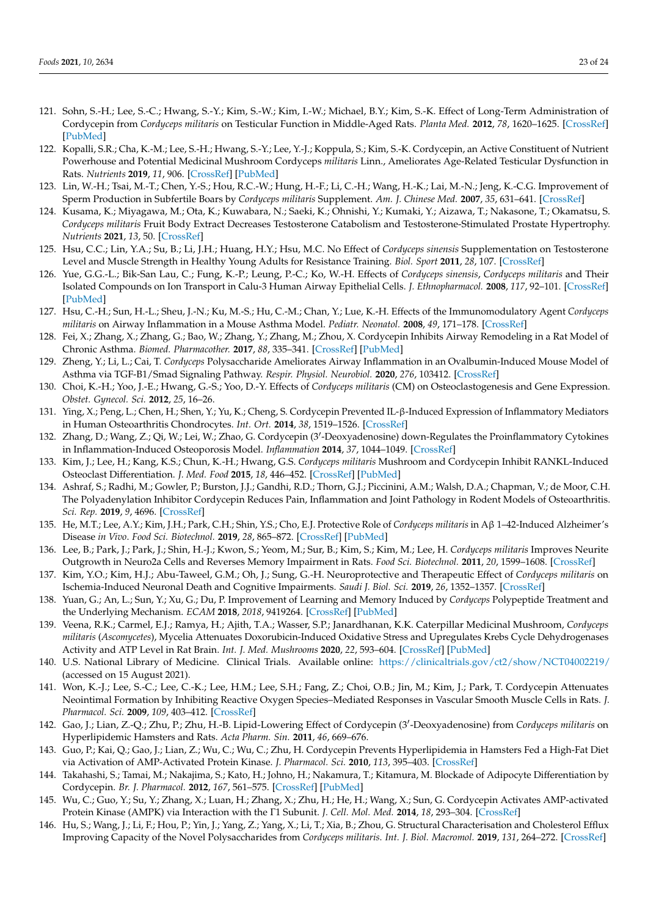- <span id="page-22-0"></span>121. Sohn, S.-H.; Lee, S.-C.; Hwang, S.-Y.; Kim, S.-W.; Kim, I.-W.; Michael, B.Y.; Kim, S.-K. Effect of Long-Term Administration of Cordycepin from *Cordyceps militaris* on Testicular Function in Middle-Aged Rats. *Planta Med.* **2012**, *78*, 1620–1625. [\[CrossRef\]](http://doi.org/10.1055/s-0032-1315212) [\[PubMed\]](http://www.ncbi.nlm.nih.gov/pubmed/22872590)
- <span id="page-22-1"></span>122. Kopalli, S.R.; Cha, K.-M.; Lee, S.-H.; Hwang, S.-Y.; Lee, Y.-J.; Koppula, S.; Kim, S.-K. Cordycepin, an Active Constituent of Nutrient Powerhouse and Potential Medicinal Mushroom Cordyceps *militaris* Linn., Ameliorates Age-Related Testicular Dysfunction in Rats. *Nutrients* **2019**, *11*, 906. [\[CrossRef\]](http://doi.org/10.3390/nu11040906) [\[PubMed\]](http://www.ncbi.nlm.nih.gov/pubmed/31018574)
- <span id="page-22-2"></span>123. Lin, W.-H.; Tsai, M.-T.; Chen, Y.-S.; Hou, R.C.-W.; Hung, H.-F.; Li, C.-H.; Wang, H.-K.; Lai, M.-N.; Jeng, K.-C.G. Improvement of Sperm Production in Subfertile Boars by *Cordyceps militaris* Supplement. *Am. J. Chinese Med.* **2007**, *35*, 631–641. [\[CrossRef\]](http://doi.org/10.1142/S0192415X07005120)
- <span id="page-22-3"></span>124. Kusama, K.; Miyagawa, M.; Ota, K.; Kuwabara, N.; Saeki, K.; Ohnishi, Y.; Kumaki, Y.; Aizawa, T.; Nakasone, T.; Okamatsu, S. *Cordyceps militaris* Fruit Body Extract Decreases Testosterone Catabolism and Testosterone-Stimulated Prostate Hypertrophy. *Nutrients* **2021**, *13*, 50. [\[CrossRef\]](http://doi.org/10.3390/nu13010050)
- <span id="page-22-4"></span>125. Hsu, C.C.; Lin, Y.A.; Su, B.; Li, J.H.; Huang, H.Y.; Hsu, M.C. No Effect of *Cordyceps sinensis* Supplementation on Testosterone Level and Muscle Strength in Healthy Young Adults for Resistance Training. *Biol. Sport* **2011**, *28*, 107. [\[CrossRef\]](http://doi.org/10.5604/942739)
- <span id="page-22-5"></span>126. Yue, G.G.-L.; Bik-San Lau, C.; Fung, K.-P.; Leung, P.-C.; Ko, W.-H. Effects of *Cordyceps sinensis*, *Cordyceps militaris* and Their Isolated Compounds on Ion Transport in Calu-3 Human Airway Epithelial Cells. *J. Ethnopharmacol.* **2008**, *117*, 92–101. [\[CrossRef\]](http://doi.org/10.1016/j.jep.2008.01.030) [\[PubMed\]](http://www.ncbi.nlm.nih.gov/pubmed/18358654)
- <span id="page-22-6"></span>127. Hsu, C.-H.; Sun, H.-L.; Sheu, J.-N.; Ku, M.-S.; Hu, C.-M.; Chan, Y.; Lue, K.-H. Effects of the Immunomodulatory Agent *Cordyceps militaris* on Airway Inflammation in a Mouse Asthma Model. *Pediatr. Neonatol.* **2008**, *49*, 171–178. [\[CrossRef\]](http://doi.org/10.1016/S1875-9572(09)60004-8)
- <span id="page-22-7"></span>128. Fei, X.; Zhang, X.; Zhang, G.; Bao, W.; Zhang, Y.; Zhang, M.; Zhou, X. Cordycepin Inhibits Airway Remodeling in a Rat Model of Chronic Asthma. *Biomed. Pharmacother.* **2017**, *88*, 335–341. [\[CrossRef\]](http://doi.org/10.1016/j.biopha.2017.01.025) [\[PubMed\]](http://www.ncbi.nlm.nih.gov/pubmed/28119235)
- <span id="page-22-8"></span>129. Zheng, Y.; Li, L.; Cai, T. *Cordyceps* Polysaccharide Ameliorates Airway Inflammation in an Ovalbumin-Induced Mouse Model of Asthma via TGF-B1/Smad Signaling Pathway. *Respir. Physiol. Neurobiol.* **2020**, *276*, 103412. [\[CrossRef\]](http://doi.org/10.1016/j.resp.2020.103412)
- <span id="page-22-9"></span>130. Choi, K.-H.; Yoo, J.-E.; Hwang, G.-S.; Yoo, D.-Y. Effects of *Cordyceps militaris* (CM) on Osteoclastogenesis and Gene Expression. *Obstet. Gynecol. Sci.* **2012**, *25*, 16–26.
- <span id="page-22-10"></span>131. Ying, X.; Peng, L.; Chen, H.; Shen, Y.; Yu, K.; Cheng, S. Cordycepin Prevented IL-β-Induced Expression of Inflammatory Mediators in Human Osteoarthritis Chondrocytes. *Int. Ort.* **2014**, *38*, 1519–1526. [\[CrossRef\]](http://doi.org/10.1007/s00264-013-2219-4)
- <span id="page-22-11"></span>132. Zhang, D.; Wang, Z.; Qi, W.; Lei, W.; Zhao, G. Cordycepin (3'-Deoxyadenosine) down-Regulates the Proinflammatory Cytokines in Inflammation-Induced Osteoporosis Model. *Inflammation* **2014**, *37*, 1044–1049. [\[CrossRef\]](http://doi.org/10.1007/s10753-014-9827-z)
- <span id="page-22-12"></span>133. Kim, J.; Lee, H.; Kang, K.S.; Chun, K.-H.; Hwang, G.S. *Cordyceps militaris* Mushroom and Cordycepin Inhibit RANKL-Induced Osteoclast Differentiation. *J. Med. Food* **2015**, *18*, 446–452. [\[CrossRef\]](http://doi.org/10.1089/jmf.2014.3215) [\[PubMed\]](http://www.ncbi.nlm.nih.gov/pubmed/25789604)
- <span id="page-22-13"></span>134. Ashraf, S.; Radhi, M.; Gowler, P.; Burston, J.J.; Gandhi, R.D.; Thorn, G.J.; Piccinini, A.M.; Walsh, D.A.; Chapman, V.; de Moor, C.H. The Polyadenylation Inhibitor Cordycepin Reduces Pain, Inflammation and Joint Pathology in Rodent Models of Osteoarthritis. *Sci. Rep.* **2019**, *9*, 4696. [\[CrossRef\]](http://doi.org/10.1038/s41598-019-41140-1)
- <span id="page-22-14"></span>135. He, M.T.; Lee, A.Y.; Kim, J.H.; Park, C.H.; Shin, Y.S.; Cho, E.J. Protective Role of *Cordyceps militaris* in Aβ 1–42-Induced Alzheimer's Disease *in Vivo*. *Food Sci. Biotechnol.* **2019**, *28*, 865–872. [\[CrossRef\]](http://doi.org/10.1007/s10068-018-0521-z) [\[PubMed\]](http://www.ncbi.nlm.nih.gov/pubmed/31093445)
- <span id="page-22-15"></span>136. Lee, B.; Park, J.; Park, J.; Shin, H.-J.; Kwon, S.; Yeom, M.; Sur, B.; Kim, S.; Kim, M.; Lee, H. *Cordyceps militaris* Improves Neurite Outgrowth in Neuro2a Cells and Reverses Memory Impairment in Rats. *Food Sci. Biotechnol.* **2011**, *20*, 1599–1608. [\[CrossRef\]](http://doi.org/10.1007/s10068-011-0221-4)
- <span id="page-22-16"></span>137. Kim, Y.O.; Kim, H.J.; Abu-Taweel, G.M.; Oh, J.; Sung, G.-H. Neuroprotective and Therapeutic Effect of *Cordyceps militaris* on Ischemia-Induced Neuronal Death and Cognitive Impairments. *Saudi J. Biol. Sci.* **2019**, *26*, 1352–1357. [\[CrossRef\]](http://doi.org/10.1016/j.sjbs.2018.08.011)
- <span id="page-22-17"></span>138. Yuan, G.; An, L.; Sun, Y.; Xu, G.; Du, P. Improvement of Learning and Memory Induced by *Cordyceps* Polypeptide Treatment and the Underlying Mechanism. *ECAM* **2018**, *2018*, 9419264. [\[CrossRef\]](http://doi.org/10.1155/2018/9419264) [\[PubMed\]](http://www.ncbi.nlm.nih.gov/pubmed/29736181)
- <span id="page-22-18"></span>139. Veena, R.K.; Carmel, E.J.; Ramya, H.; Ajith, T.A.; Wasser, S.P.; Janardhanan, K.K. Caterpillar Medicinal Mushroom, *Cordyceps militaris* (*Ascomycetes*), Mycelia Attenuates Doxorubicin-Induced Oxidative Stress and Upregulates Krebs Cycle Dehydrogenases Activity and ATP Level in Rat Brain. *Int. J. Med. Mushrooms* **2020**, *22*, 593–604. [\[CrossRef\]](http://doi.org/10.1615/IntJMedMushrooms.2020035093) [\[PubMed\]](http://www.ncbi.nlm.nih.gov/pubmed/32865900)
- <span id="page-22-19"></span>140. U.S. National Library of Medicine. Clinical Trials. Available online: <https://clinicaltrials.gov/ct2/show/NCT04002219/> (accessed on 15 August 2021).
- <span id="page-22-20"></span>141. Won, K.-J.; Lee, S.-C.; Lee, C.-K.; Lee, H.M.; Lee, S.H.; Fang, Z.; Choi, O.B.; Jin, M.; Kim, J.; Park, T. Cordycepin Attenuates Neointimal Formation by Inhibiting Reactive Oxygen Species–Mediated Responses in Vascular Smooth Muscle Cells in Rats. *J. Pharmacol. Sci.* **2009**, *109*, 403–412. [\[CrossRef\]](http://doi.org/10.1254/jphs.08308FP)
- <span id="page-22-21"></span>142. Gao, J.; Lian, Z.-Q.; Zhu, P.; Zhu, H.-B. Lipid-Lowering Effect of Cordycepin (3'-Deoxyadenosine) from *Cordyceps militaris* on Hyperlipidemic Hamsters and Rats. *Acta Pharm. Sin.* **2011**, *46*, 669–676.
- <span id="page-22-22"></span>143. Guo, P.; Kai, Q.; Gao, J.; Lian, Z.; Wu, C.; Wu, C.; Zhu, H. Cordycepin Prevents Hyperlipidemia in Hamsters Fed a High-Fat Diet via Activation of AMP-Activated Protein Kinase. *J. Pharmacol. Sci.* **2010**, *113*, 395–403. [\[CrossRef\]](http://doi.org/10.1254/jphs.10041FP)
- <span id="page-22-23"></span>144. Takahashi, S.; Tamai, M.; Nakajima, S.; Kato, H.; Johno, H.; Nakamura, T.; Kitamura, M. Blockade of Adipocyte Differentiation by Cordycepin. *Br. J. Pharmacol.* **2012**, *167*, 561–575. [\[CrossRef\]](http://doi.org/10.1111/j.1476-5381.2012.02005.x) [\[PubMed\]](http://www.ncbi.nlm.nih.gov/pubmed/22537056)
- <span id="page-22-24"></span>145. Wu, C.; Guo, Y.; Su, Y.; Zhang, X.; Luan, H.; Zhang, X.; Zhu, H.; He, H.; Wang, X.; Sun, G. Cordycepin Activates AMP-activated Protein Kinase (AMPK) via Interaction with the Γ1 Subunit. *J. Cell. Mol. Med.* **2014**, *18*, 293–304. [\[CrossRef\]](http://doi.org/10.1111/jcmm.12187)
- <span id="page-22-25"></span>146. Hu, S.; Wang, J.; Li, F.; Hou, P.; Yin, J.; Yang, Z.; Yang, X.; Li, T.; Xia, B.; Zhou, G. Structural Characterisation and Cholesterol Efflux Improving Capacity of the Novel Polysaccharides from *Cordyceps militaris*. *Int. J. Biol. Macromol.* **2019**, *131*, 264–272. [\[CrossRef\]](http://doi.org/10.1016/j.ijbiomac.2019.03.078)